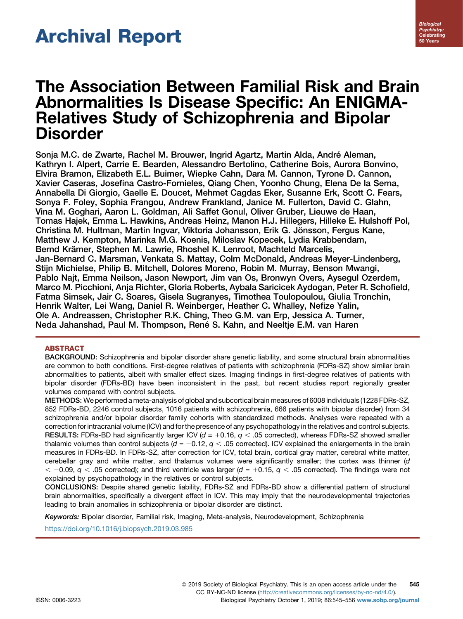# Archival Report

# The Association Between Familial Risk and Brain Abnormalities Is Disease Specific: An ENIGMA-Relatives Study of Schizophrenia and Bipolar **Disorder**

Sonja M.C. de Zwarte, Rachel M. Brouwer, Ingrid Agartz, Martin Alda, André Aleman, Kathryn I. Alpert, Carrie E. Bearden, Alessandro Bertolino, Catherine Bois, Aurora Bonvino, Elvira Bramon, Elizabeth E.L. Buimer, Wiepke Cahn, Dara M. Cannon, Tyrone D. Cannon, Xavier Caseras, Josefina Castro-Fornieles, Qiang Chen, Yoonho Chung, Elena De la Serna, Annabella Di Giorgio, Gaelle E. Doucet, Mehmet Cagdas Eker, Susanne Erk, Scott C. Fears, Sonya F. Foley, Sophia Frangou, Andrew Frankland, Janice M. Fullerton, David C. Glahn, Vina M. Goghari, Aaron L. Goldman, Ali Saffet Gonul, Oliver Gruber, Lieuwe de Haan, Tomas Hajek, Emma L. Hawkins, Andreas Heinz, Manon H.J. Hillegers, Hilleke E. Hulshoff Pol, Christina M. Hultman, Martin Ingvar, Viktoria Johansson, Erik G. Jönsson, Fergus Kane, Matthew J. Kempton, Marinka M.G. Koenis, Miloslav Kopecek, Lydia Krabbendam, Bernd Krämer, Stephen M. Lawrie, Rhoshel K. Lenroot, Machteld Marcelis, Jan-Bernard C. Marsman, Venkata S. Mattay, Colm McDonald, Andreas Meyer-Lindenberg, Stijn Michielse, Philip B. Mitchell, Dolores Moreno, Robin M. Murray, Benson Mwangi, Pablo Najt, Emma Neilson, Jason Newport, Jim van Os, Bronwyn Overs, Aysegul Ozerdem, Marco M. Picchioni, Anja Richter, Gloria Roberts, Aybala Saricicek Aydogan, Peter R. Schofield, Fatma Simsek, Jair C. Soares, Gisela Sugranyes, Timothea Toulopoulou, Giulia Tronchin, Henrik Walter, Lei Wang, Daniel R. Weinberger, Heather C. Whalley, Nefize Yalin, Ole A. Andreassen, Christopher R.K. Ching, Theo G.M. van Erp, Jessica A. Turner, Neda Jahanshad, Paul M. Thompson, René S. Kahn, and Neeltje E.M. van Haren

# ABSTRACT

BACKGROUND: Schizophrenia and bipolar disorder share genetic liability, and some structural brain abnormalities are common to both conditions. First-degree relatives of patients with schizophrenia (FDRs-SZ) show similar brain abnormalities to patients, albeit with smaller effect sizes. Imaging findings in first-degree relatives of patients with bipolar disorder (FDRs-BD) have been inconsistent in the past, but recent studies report regionally greater volumes compared with control subjects.

METHODS: We performed a meta-analysis of global and subcortical brain measures of 6008 individuals (1228 FDRs-SZ, 852 FDRs-BD, 2246 control subjects, 1016 patients with schizophrenia, 666 patients with bipolar disorder) from 34 schizophrenia and/or bipolar disorder family cohorts with standardized methods. Analyses were repeated with a correction for intracranial volume (ICV) and for the presence of any psychopathology in the relatives and control subjects. RESULTS: FDRs-BD had significantly larger ICV ( $d = +0.16$ ,  $q < .05$  corrected), whereas FDRs-SZ showed smaller thalamic volumes than control subjects ( $d = -0.12$ ,  $q < .05$  corrected). ICV explained the enlargements in the brain measures in FDRs-BD. In FDRs-SZ, after correction for ICV, total brain, cortical gray matter, cerebral white matter, cerebellar gray and white matter, and thalamus volumes were significantly smaller; the cortex was thinner (d  $<$  -0.09,  $q<$  .05 corrected); and third ventricle was larger (d = +0.15,  $q<$  .05 corrected). The findings were not explained by psychopathology in the relatives or control subjects.

CONCLUSIONS: Despite shared genetic liability, FDRs-SZ and FDRs-BD show a differential pattern of structural brain abnormalities, specifically a divergent effect in ICV. This may imply that the neurodevelopmental trajectories leading to brain anomalies in schizophrenia or bipolar disorder are distinct.

Keywords: Bipolar disorder, Familial risk, Imaging, Meta-analysis, Neurodevelopment, Schizophrenia

<https://doi.org/10.1016/j.biopsych.2019.03.985>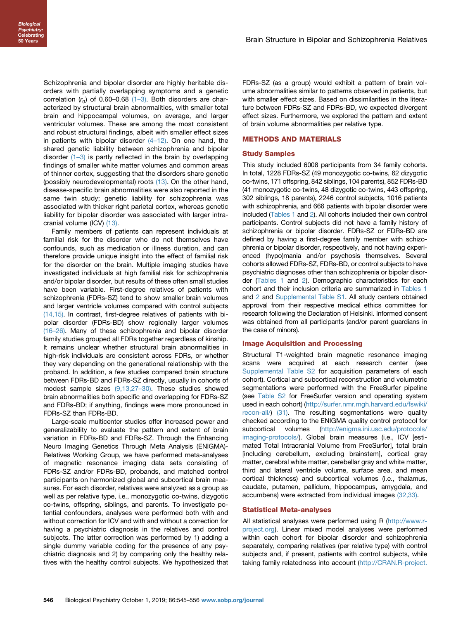Schizophrenia and bipolar disorder are highly heritable disorders with partially overlapping symptoms and a genetic correlation  $(r_a)$  of 0.60–0.68 (1–[3\).](#page-9-0) Both disorders are characterized by structural brain abnormalities, with smaller total brain and hippocampal volumes, on average, and larger ventricular volumes. These are among the most consistent and robust structural findings, albeit with smaller effect sizes in patients with bipolar disorder  $(4-12)$  $(4-12)$ . On one hand, the shared genetic liability between schizophrenia and bipolar disorder  $(1-3)$  $(1-3)$  is partly reflected in the brain by overlapping findings of smaller white matter volumes and common areas of thinner cortex, suggesting that the disorders share genetic (possibly neurodevelopmental) roots [\(13\).](#page-9-0) On the other hand, disease-specific brain abnormalities were also reported in the same twin study; genetic liability for schizophrenia was associated with thicker right parietal cortex, whereas genetic liability for bipolar disorder was associated with larger intracranial volume (ICV) [\(13\)](#page-9-0).

Family members of patients can represent individuals at familial risk for the disorder who do not themselves have confounds, such as medication or illness duration, and can therefore provide unique insight into the effect of familial risk for the disorder on the brain. Multiple imaging studies have investigated individuals at high familial risk for schizophrenia and/or bipolar disorder, but results of these often small studies have been variable. First-degree relatives of patients with schizophrenia (FDRs-SZ) tend to show smaller brain volumes and larger ventricle volumes compared with control subjects [\(14,15\)](#page-9-0). In contrast, first-degree relatives of patients with bipolar disorder (FDRs-BD) show regionally larger volumes (16–[26\).](#page-9-0) Many of these schizophrenia and bipolar disorder family studies grouped all FDRs together regardless of kinship. It remains unclear whether structural brain abnormalities in high-risk individuals are consistent across FDRs, or whether they vary depending on the generational relationship with the proband. In addition, a few studies compared brain structure between FDRs-BD and FDRs-SZ directly, usually in cohorts of modest sample sizes [\(9,13,27](#page-9-0)–30). These studies showed brain abnormalities both specific and overlapping for FDRs-SZ and FDRs-BD; if anything, findings were more pronounced in FDRs-SZ than FDRs-BD.

Large-scale multicenter studies offer increased power and generalizability to evaluate the pattern and extent of brain variation in FDRs-BD and FDRs-SZ. Through the Enhancing Neuro Imaging Genetics Through Meta Analysis (ENIGMA)- Relatives Working Group, we have performed meta-analyses of magnetic resonance imaging data sets consisting of FDRs-SZ and/or FDRs-BD, probands, and matched control participants on harmonized global and subcortical brain measures. For each disorder, relatives were analyzed as a group as well as per relative type, i.e., monozygotic co-twins, dizygotic co-twins, offspring, siblings, and parents. To investigate potential confounders, analyses were performed both with and without correction for ICV and with and without a correction for having a psychiatric diagnosis in the relatives and control subjects. The latter correction was performed by 1) adding a single dummy variable coding for the presence of any psychiatric diagnosis and 2) by comparing only the healthy relatives with the healthy control subjects. We hypothesized that FDRs-SZ (as a group) would exhibit a pattern of brain volume abnormalities similar to patterns observed in patients, but with smaller effect sizes. Based on dissimilarities in the literature between FDRs-SZ and FDRs-BD, we expected divergent effect sizes. Furthermore, we explored the pattern and extent of brain volume abnormalities per relative type.

## METHODS AND MATERIALS

#### Study Samples

This study included 6008 participants from 34 family cohorts. In total, 1228 FDRs-SZ (49 monozygotic co-twins, 62 dizygotic co-twins, 171 offspring, 842 siblings, 104 parents), 852 FDRs-BD (41 monozygotic co-twins, 48 dizygotic co-twins, 443 offspring, 302 siblings, 18 parents), 2246 control subjects, 1016 patients with schizophrenia, and 666 patients with bipolar disorder were included [\(Tables 1](#page-2-0) and [2](#page-3-0)). All cohorts included their own control participants. Control subjects did not have a family history of schizophrenia or bipolar disorder. FDRs-SZ or FDRs-BD are defined by having a first-degree family member with schizophrenia or bipolar disorder, respectively, and not having experienced (hypo)mania and/or psychosis themselves. Several cohorts allowed FDRs-SZ, FDRs-BD, or control subjects to have psychiatric diagnoses other than schizophrenia or bipolar disorder [\(Tables 1](#page-2-0) and [2](#page-3-0)). Demographic characteristics for each cohort and their inclusion criteria are summarized in [Tables 1](#page-2-0) and [2](#page-3-0) and Supplemental Table S1. All study centers obtained approval from their respective medical ethics committee for research following the Declaration of Helsinki. Informed consent was obtained from all participants (and/or parent guardians in the case of minors).

#### Image Acquisition and Processing

Structural T1-weighted brain magnetic resonance imaging scans were acquired at each research center (see Supplemental Table S2 for acquisition parameters of each cohort). Cortical and subcortical reconstruction and volumetric segmentations were performed with the FreeSurfer pipeline (see Table S2 for FreeSurfer version and operating system used in each cohort) ([http://surfer.nmr.mgh.harvard.edu/fswiki/](http://surfer.nmr.mgh.harvard.edu/fswiki/recon-all/) [recon-all/\)](http://surfer.nmr.mgh.harvard.edu/fswiki/recon-all/) [\(31\).](#page-10-0) The resulting segmentations were quality checked according to the ENIGMA quality control protocol for subcortical volumes [\(http://enigma.ini.usc.edu/protocols/](http://enigma.ini.usc.edu/protocols/imaging-protocols/) [imaging-protocols/\)](http://enigma.ini.usc.edu/protocols/imaging-protocols/). Global brain measures (i.e., ICV [estimated Total Intracranial Volume from FreeSurfer], total brain [including cerebellum, excluding brainstem], cortical gray matter, cerebral white matter, cerebellar gray and white matter, third and lateral ventricle volume, surface area, and mean cortical thickness) and subcortical volumes (i.e., thalamus, caudate, putamen, pallidum, hippocampus, amygdala, and accumbens) were extracted from individual images [\(32,33\)](#page-10-0).

#### Statistical Meta-analyses

All statistical analyses were performed using R ([http://www.r](http://www.r-project.org)[project.org](http://www.r-project.org)). Linear mixed model analyses were performed within each cohort for bipolar disorder and schizophrenia separately, comparing relatives (per relative type) with control subjects and, if present, patients with control subjects, while taking family relatedness into account [\(http://CRAN.R-project.](http://CRAN.R-project.org/package=nlme)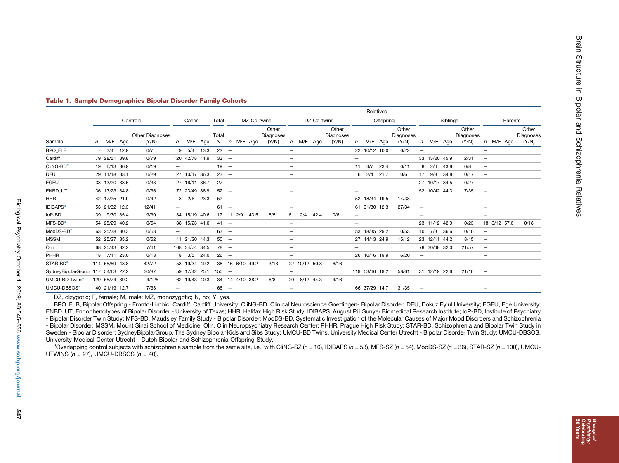|                                   |          |                 |      |                                 |                          |                |      | Relatives   |             |           |                 |                             |                              |               |      |                             |              |                |      |                             |                          |               |      |                             |                          |              |  |                             |
|-----------------------------------|----------|-----------------|------|---------------------------------|--------------------------|----------------|------|-------------|-------------|-----------|-----------------|-----------------------------|------------------------------|---------------|------|-----------------------------|--------------|----------------|------|-----------------------------|--------------------------|---------------|------|-----------------------------|--------------------------|--------------|--|-----------------------------|
|                                   | Controls |                 |      |                                 |                          | Cases          |      | Total       | MZ Co-twins |           |                 | DZ Co-twins                 |                              |               |      | Offspring                   |              |                |      |                             | <b>Siblings</b>          |               |      |                             |                          | Parents      |  |                             |
| Sample                            |          | n M/F Age       |      | <b>Other Diagnoses</b><br>(Y/N) |                          | n M/F Age      |      | Total<br>N. |             |           | n M/F Age       | Other<br>Diagnoses<br>(Y/N) |                              | n M/F Age     |      | Other<br>Diagnoses<br>(Y/N) | $\mathsf{n}$ | M/F Age        |      | Other<br>Diagnoses<br>(Y/N) | n                        | M/F Age       |      | Other<br>Diagnoses<br>(Y/N) |                          | n M/F Age    |  | Other<br>Diagnoses<br>(Y/N) |
| <b>BPO FLB</b>                    |          | $7 \frac{3}{4}$ | 12.9 | 0/7                             |                          | $9 \quad 5/4$  | 13.3 | $22 -$      |             |           |                 |                             |                              |               |      |                             |              | 22 10/12 10.0  |      | 0/22                        | $\overline{\phantom{m}}$ |               |      |                             | $-$                      |              |  |                             |
| Cardiff                           |          | 79 28/51 39.8   |      | 0/79                            |                          | 120 42/78 41.9 |      | $33 -$      |             |           |                 |                             |                              |               |      |                             | —            |                |      |                             |                          | 33 13/20 45.9 |      | 2/31                        | $\overline{\phantom{m}}$ |              |  |                             |
| Cling-BDª                         |          | 19 6/13 30.9    |      | 0/19                            |                          |                |      | $19 -$      |             |           |                 |                             |                              |               |      |                             |              | $11 \quad 4/7$ | 23.4 | 0/11                        | 8                        | 2/6           | 43.8 | 0/8                         | $\qquad \qquad -$        |              |  |                             |
| DEU                               |          | 29 11/18 33.1   |      | 0/29                            |                          | 27 10/17 36.3  |      | $23 -$      |             |           |                 |                             | $\qquad \qquad -$            |               |      |                             |              | 6 2/4 21.7     |      | 0/6                         | 17                       | 9/8           | 34.8 | 0/17                        | $\overline{\phantom{m}}$ |              |  |                             |
| EGEU                              |          | 33 13/20 33.6   |      | 0/33                            |                          | 27 16/11 36.7  |      | $27 -$      |             |           |                 |                             |                              |               |      |                             | $-$          |                |      |                             |                          | 27 10/17 34.5 |      | 0/27                        | $\overline{\phantom{m}}$ |              |  |                             |
| ENBD UT                           |          | 36 13/23 34.8   |      | 0/36                            |                          | 72 23/49 36.9  |      | $52 -$      |             |           |                 |                             |                              |               |      |                             | $-$          |                |      |                             |                          | 52 10/42 44.3 |      | 17/35                       | $\overline{\phantom{a}}$ |              |  |                             |
| HHR                               |          | 42 17/25 21.9   |      | 0/42                            |                          | 8 2/6          | 23.3 | $52 -$      |             |           |                 |                             | $\overline{\phantom{0}}$     |               |      |                             |              | 52 18/34 19.5  |      | 14/38                       | $\overline{\phantom{m}}$ |               |      |                             | $-$                      |              |  |                             |
| IDIBAPS <sup>a</sup>              |          | 53 21/32 12.3   |      | 12/41                           |                          |                |      | $61 -$      |             |           |                 |                             | $\overline{\phantom{0}}$     |               |      |                             |              | 61 31/30 12.3  |      | 27/34                       | $\overline{\phantom{m}}$ |               |      |                             | $\overline{\phantom{0}}$ |              |  |                             |
| loP-BD                            |          | 39 9/30 35.4    |      | 9/30                            |                          | 34 15/19 40.6  |      |             |             | 17 11 2/9 | 43.5            | 6/5                         | 6                            | 2/4           | 42.4 | 0/6                         | $-$          |                |      |                             | $\overline{\phantom{m}}$ |               |      |                             | $\qquad \qquad -$        |              |  |                             |
| $MFS-BD^a$                        |          | 54 25/29 40.2   |      | 0/54                            |                          | 38 15/23 41.0  |      | $41 -$      |             |           |                 |                             | $\qquad \qquad -$            |               |      |                             | —            |                |      |                             |                          | 23 11/12 42.9 |      | 0/23                        |                          | 18 6/12 57.6 |  | 0/18                        |
| MooDS-BDª                         |          | 63 25/38 30.3   |      | 0/63                            |                          |                |      | $63 -$      |             |           |                 |                             | $\qquad \qquad -$            |               |      |                             |              | 53 18/35 29.2  |      | 0/53                        |                          | 10 7/3        | 36.6 | 0/10                        | $\overline{\phantom{m}}$ |              |  |                             |
| MSSM                              |          | 52 25/27 35.2   |      | 0/52                            |                          | 41 21/20 44.3  |      | $50 -$      |             |           |                 |                             | $\qquad \qquad \blacksquare$ |               |      |                             |              | 27 14/13 24.9  |      | 15/12                       |                          | 23 12/11 44.2 |      | 8/15                        | $\overline{\phantom{m}}$ |              |  |                             |
| Olin                              |          | 68 25/43 32.2   |      | 7/61                            |                          | 108 34/74 34.5 |      | $78 -$      |             |           |                 |                             |                              |               |      |                             |              |                |      |                             |                          | 78 30/48 32.0 |      | 21/57                       | $\qquad \qquad -$        |              |  |                             |
| PHHR                              |          | 18 7/11 23.0    |      | 0/18                            |                          | 8 3/5          | 24.0 | $26 -$      |             |           |                 |                             | $\qquad \qquad$              |               |      |                             |              | 26 10/16 19.9  |      | 6/20                        | $\overline{\phantom{m}}$ |               |      |                             | $-$                      |              |  |                             |
| STAR-BD <sup>a</sup>              |          | 114 55/59 48.8  |      | 42/72                           |                          | 53 19/34       | 49.2 |             |             |           | 38 16 6/10 49.2 | 3/13                        |                              | 22 10/12 50.8 |      | 6/16                        | —            |                |      |                             | $\overline{\phantom{m}}$ |               |      |                             | $\qquad \qquad -$        |              |  |                             |
| SydneyBipolarGroup 117 54/63 22.2 |          |                 |      | 30/87                           |                          | 59 17/42 25.1  |      | $150 -$     |             |           |                 |                             | $\overline{\phantom{0}}$     |               |      |                             |              | 119 53/66 19.2 |      | 58/61                       |                          | 31 12/19 22.6 |      | 21/10                       | $\overline{\phantom{m}}$ |              |  |                             |
| UMCU-BD Twins <sup>a</sup>        |          | 129 55/74 39.2  |      | 4/125                           |                          | 62 19/43 40.3  |      |             |             |           | 34 14 4/10 38.2 | 6/8                         |                              | 20 8/12 44.3  |      | 4/16                        | —            |                |      |                             | $\overline{\phantom{0}}$ |               |      |                             | $-$                      |              |  |                             |
| UMCU-DBSOSª                       |          | 40 21/19 12.7   |      | 7/33                            | $\overline{\phantom{0}}$ |                |      | $66 -$      |             |           |                 |                             | $\qquad \qquad \blacksquare$ |               |      |                             |              | 66 37/29 14.7  |      | 31/35                       |                          |               |      |                             | $\overline{\phantom{m}}$ |              |  |                             |

#### <span id="page-2-0"></span>Table 1. Sample Demographics Bipolar Disorder Family Cohorts

DZ, dizygotic; F, female; M, male; MZ, monozygotic; N, no; Y, yes.

BPO\_FLB, Bipolar Offspring - Fronto-Limbic; Cardiff, Cardiff University; CliNG-BD, Clinical Neuroscience Goettingen- Bipolar Disorder; DEU, Dokuz Eylul University; EGEU, Ege University; ENBD\_UT, Endophenotypes of Bipolar Disorder - University of Texas; HHR, Halifax High Risk Study; IDIBAPS, August Pi i Sunyer Biomedical Research Institute; IoP-BD, Institute of Psychiatry - Bipolar Disorder Twin Study; MFS-BD, Maudsley Family Study - Bipolar Disorder; MooDS-BD, Systematic Investigation of the Molecular Causes of Major Mood Disorders and Schizophrenia - Bipolar Disorder; MSSM, Mount Sinai School of Medicine; Olin, Olin Neuropsychiatry Research Center; PHHR, Prague High Risk Study; STAR-BD, Schizophrenia and Bipolar Twin Study in Sweden - Bipolar Disorder; SydneyBipolarGroup, The Sydney Bipolar Kids and Sibs Study; UMCU-BD Twins, University Medical Center Utrecht - Bipolar Disorder Twin Study; UMCU-DBSOS, University Medical Center Utrecht - Dutch Bipolar and Schizophrenia Offspring Study.

<sup>a</sup>Overlapping control subjects with schizophrenia sample from the same site, i.e., with CliNG-SZ (n = 10), IDIBAPS (n = 53), MFS-SZ (n = 54), MooDS-SZ (n = 36), STAR-SZ (n = 100), UMCU-UTWINS ( $n = 27$ ), UMCU-DBSOS ( $n = 40$ ).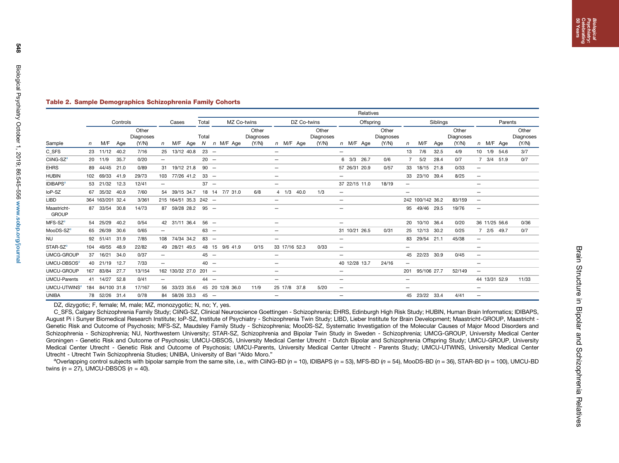<span id="page-3-0"></span>548

# Table 2. Sample Demographics Schizophrenia Family Cohorts

|                                                 |              |                  |      |                             |                          |                       |     |        |                 | Relatives                   |                              |             |               |                             |                              |               |               |                             |                              |                  |      |                             |                          |               |  |                             |
|-------------------------------------------------|--------------|------------------|------|-----------------------------|--------------------------|-----------------------|-----|--------|-----------------|-----------------------------|------------------------------|-------------|---------------|-----------------------------|------------------------------|---------------|---------------|-----------------------------|------------------------------|------------------|------|-----------------------------|--------------------------|---------------|--|-----------------------------|
|                                                 |              | Controls         |      |                             |                          | Cases<br>Total        |     |        | MZ Co-twins     |                             |                              | DZ Co-twins |               |                             | Offspring                    |               |               |                             | Siblings                     |                  |      |                             |                          | Parents       |  |                             |
| Sample                                          | $\mathsf{n}$ | M/F              | Age  | Other<br>Diagnoses<br>(Y/N) | n                        | M/F                   | Aqe | Total  | N n M/F Age     | Other<br>Diagnoses<br>(Y/N) |                              |             | n M/F Age     | Other<br>Diagnoses<br>(Y/N) |                              |               | n M/F Age     | Other<br>Diagnoses<br>(Y/N) | n                            | M/F              | Age  | Other<br>Diagnoses<br>(Y/N) |                          | n M/F Age     |  | Other<br>Diagnoses<br>(Y/N) |
| C SFS                                           |              | 23 11/12         | 40.2 | 7/16                        |                          | 25 13/12 40.8         |     | $23 -$ |                 |                             |                              |             |               |                             | $\qquad \qquad -$            |               |               |                             | 13                           | 7/6              | 32.5 | 4/9                         |                          | 10 1/9 54.6   |  | 3/7                         |
| CliNG-SZ <sup>a</sup>                           |              | 20 11/9          | 35.7 | 0/20                        |                          |                       |     | $20 -$ |                 |                             |                              |             |               |                             |                              | 6 3/3 26.7    |               | 0/6                         |                              | 5/2              | 28.4 | 0/7                         |                          | 7 3/4 51.9    |  | 0/7                         |
| <b>EHRS</b>                                     |              | 89 44/45 21.0    |      | 0/89                        |                          | 31 19/12 21.8         |     | $90 -$ |                 |                             | $\qquad \qquad \blacksquare$ |             |               |                             |                              |               | 57 26/31 20.9 | 0/57                        | 33                           | 18/15 21.8       |      | 0/33                        | $\qquad \qquad -$        |               |  |                             |
| <b>HUBIN</b>                                    |              | 102 69/33        | 41.9 | 29/73                       |                          | 103 77/26 41.2        |     | $33 -$ |                 |                             |                              |             |               |                             | $\overline{\phantom{0}}$     |               |               |                             |                              | 33 23/10 39.4    |      | 8/25                        | $\qquad \qquad -$        |               |  |                             |
| <b>IDIBAPS<sup>a</sup></b>                      |              | 53 21/32         | 12.3 | 12/41                       | $\qquad \qquad -$        |                       |     | $37 -$ |                 |                             | $\qquad \qquad -$            |             |               |                             |                              |               | 37 22/15 11.0 | 18/19                       | $\qquad \qquad \blacksquare$ |                  |      |                             | $\overline{\phantom{0}}$ |               |  |                             |
| loP-SZ                                          |              | 67 35/32         | 40.9 | 7/60                        |                          | 54 39/15 34.7         |     |        | 18 14 7/7 31.0  | 6/8                         |                              |             | 4 1/3 40.0    | 1/3                         | $\qquad \qquad -$            |               |               |                             | $\overline{\phantom{0}}$     |                  |      |                             | $\qquad \qquad -$        |               |  |                             |
| LIBD                                            |              | 364 163/201 32.4 |      | 3/361                       |                          | 215 164/51 35.3 242 - |     |        |                 |                             | -                            |             |               |                             | $\qquad \qquad -$            |               |               |                             |                              | 242 100/142 36.2 |      | 83/159                      | $\overline{\phantom{m}}$ |               |  |                             |
| Maastricht-<br><b>GROUP</b>                     |              | 87 33/54 30.8    |      | 14/73                       |                          | 87 59/28 28.2 95 -    |     |        |                 |                             | -                            |             |               |                             | $\qquad \qquad -$            |               |               |                             |                              | 95 49/46 29.5    |      | 19/76                       | $\overline{\phantom{m}}$ |               |  |                             |
| MFS-SZ $^a$                                     |              | 54 25/29         | 40.2 | 0/54                        |                          | 42 31/11 36.4         |     | $56 -$ |                 |                             | $\qquad \qquad -$            |             |               |                             | $\overline{\phantom{m}}$     |               |               |                             |                              | 20 10/10 36.4    |      | 0/20                        |                          | 36 11/25 56.6 |  | 0/36                        |
| MooDS-SZ <sup>a</sup>                           |              | 65 26/39         | 30.6 | 0/65                        |                          |                       |     | $63 -$ |                 |                             | $\qquad \qquad -$            |             |               |                             |                              |               | 31 10/21 26.5 | 0/31                        | 25                           | 12/13 30.2       |      | 0/25                        |                          | 7 2/5 49.7    |  | 0/7                         |
| NU                                              |              | 92 51/41         | 31.9 | 7/85                        |                          | 108 74/34 34.2        |     | $83 -$ |                 |                             |                              |             |               |                             | $\qquad \qquad -$            |               |               |                             |                              | 83 29/54 21.1    |      | 45/38                       | $\qquad \qquad -$        |               |  |                             |
| $\mathsf{STAR}\text{-}\mathsf{SZ}^{\mathsf{a}}$ |              | 104 49/55        | 48.9 | 22/82                       |                          | 49 28/21 49.5         |     |        | 48 15 9/6 41.9  | 0/15                        |                              |             | 33 17/16 52.3 | 0/33                        | $\qquad \qquad -$            |               |               |                             | $\overline{\phantom{0}}$     |                  |      |                             | $\qquad \qquad$          |               |  |                             |
| UMCG-GROUP                                      |              | 37 16/21         | 34.0 | 0/37                        | $\qquad \qquad -$        |                       |     | $45 -$ |                 |                             |                              |             |               |                             | $\qquad \qquad -$            |               |               |                             |                              | 45 22/23 30.9    |      | 0/45                        | $\qquad \qquad -$        |               |  |                             |
| UMCU-DBSOS <sup>®</sup>                         |              | 40 21/19         | 12.7 | 7/33                        | $\overline{\phantom{m}}$ |                       |     | $40 -$ |                 |                             |                              |             |               |                             |                              | 40 12/28 13.7 |               | 24/16                       | $\overline{\phantom{0}}$     |                  |      |                             | $\qquad \qquad -$        |               |  |                             |
| UMCU-GROUP                                      |              | 167 83/84        | 27.7 | 13/154                      |                          | 162 130/32 27.0 201 - |     |        |                 |                             |                              |             |               |                             | $\qquad \qquad -$            |               |               |                             |                              | 201 95/106 27.7  |      | 52/149                      | $\qquad \qquad -$        |               |  |                             |
| UMCU-Parents                                    |              | 41 14/27         | 52.8 | 0/41                        |                          |                       |     | $44 -$ |                 |                             | -                            |             |               |                             | $\qquad \qquad -$            |               |               |                             | $\overline{\phantom{0}}$     |                  |      |                             |                          | 44 13/31 52.9 |  | 11/33                       |
| UMCU-UTWINS <sup>a</sup>                        |              | 184 84/100 31.8  |      | 17/167                      |                          | 56 33/23 35.6         |     |        | 45 20 12/8 36.0 | 11/9                        |                              |             | 25 17/8 37.8  | 5/20                        | $\overline{\phantom{m}}$     |               |               |                             | $\overline{\phantom{0}}$     |                  |      |                             | $\overline{\phantom{0}}$ |               |  |                             |
| UNIBA                                           |              | 78 52/26 31.4    |      | 0/78                        |                          | 84 58/26 33.3         |     | $45 -$ |                 |                             | $-$                          |             |               |                             | $\qquad \qquad \blacksquare$ |               |               |                             |                              | 45 23/22 33.4    |      | 4/41                        | $\overline{\phantom{m}}$ |               |  |                             |

DZ, dizygotic; F, female; M, male; MZ, monozygotic; N, no; Y, yes.

C\_SFS, Calgary Schizophrenia Family Study; CliNG-SZ, Clinical Neuroscience Goettingen - Schizophrenia; EHRS, Edinburgh High Risk Study; HUBIN, Human Brain Informatics; IDIBAPS, August Pi i Sunyer Biomedical Research Institute; IoP-SZ, Institute of Psychiatry - Schizophrenia Twin Study; LIBD, Lieber Institute for Brain Development; Maastricht-GROUP, Maastricht -Genetic Risk and Outcome of Psychosis; MFS-SZ, Maudsley Family Study - Schizophrenia; MooDS-SZ, Systematic Investigation of the Molecular Causes of Major Mood Disorders and Schizophrenia - Schizophrenia; NU, Northwestern University; STAR-SZ, Schizophrenia and Bipolar Twin Study in Sweden - Schizophrenia; UMCG-GROUP, University Medical Center Groningen - Genetic Risk and Outcome of Psychosis; UMCU-DBSOS, University Medical Center Utrecht - Dutch Bipolar and Schizophrenia Offspring Study; UMCU-GROUP, University Medical Center Utrecht - Genetic Risk and Outcome of Psychosis; UMCU-Parents, University Medical Center Utrecht - Parents Study; UMCU-UTWINS, University Medical Center Utrecht - Utrecht Twin Schizophrenia Studies; UNIBA, University of Bari "Aldo Moro."

<sup>a</sup>Overlapping control subjects with bipolar sample from the same site, i.e., with CliNG-BD (n = 10), IDIBAPS (n = 53), MFS-BD (n = 54), MooDS-BD (n = 36), STAR-BD (n = 100), UMCU-BD twins ( $n = 27$ ), UMCU-DBSOS ( $n = 40$ ).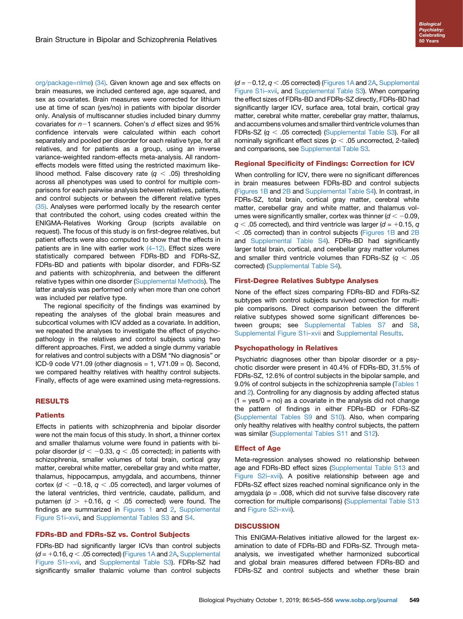[org/package=nlme](http://CRAN.R-project.org/package=nlme)) [\(34\).](#page-10-0) Given known age and sex effects on brain measures, we included centered age, age squared, and sex as covariates. Brain measures were corrected for lithium use at time of scan (yes/no) in patients with bipolar disorder only. Analysis of multiscanner studies included binary dummy covariates for  $n-1$  scanners. Cohen's d effect sizes and 95% confidence intervals were calculated within each cohort separately and pooled per disorder for each relative type, for all relatives, and for patients as a group, using an inverse variance-weighted random-effects meta-analysis. All randomeffects models were fitted using the restricted maximum likelihood method. False discovery rate  $(q < .05)$  thresholding across all phenotypes was used to control for multiple comparisons for each pairwise analysis between relatives, patients, and control subjects or between the different relative types [\(35\)](#page-10-0). Analyses were performed locally by the research center that contributed the cohort, using codes created within the ENIGMA-Relatives Working Group (scripts available on request). The focus of this study is on first-degree relatives, but patient effects were also computed to show that the effects in patients are in line with earlier work (4-[12\).](#page-9-0) Effect sizes were statistically compared between FDRs-BD and FDRs-SZ, FDRs-BD and patients with bipolar disorder, and FDRs-SZ and patients with schizophrenia, and between the different relative types within one disorder (Supplemental Methods). The latter analysis was performed only when more than one cohort was included per relative type.

The regional specificity of the findings was examined by repeating the analyses of the global brain measures and subcortical volumes with ICV added as a covariate. In addition, we repeated the analyses to investigate the effect of psychopathology in the relatives and control subjects using two different approaches. First, we added a single dummy variable for relatives and control subjects with a DSM "No diagnosis" or ICD-9 code V71.09 (other diagnosis  $= 1$ , V71.09  $= 0$ ). Second, we compared healthy relatives with healthy control subjects. Finally, effects of age were examined using meta-regressions.

# RESULTS

#### **Patients**

Effects in patients with schizophrenia and bipolar disorder were not the main focus of this study. In short, a thinner cortex and smaller thalamus volume were found in patients with bipolar disorder ( $d < -0.33$ ,  $q < .05$  corrected); in patients with schizophrenia, smaller volumes of total brain, cortical gray matter, cerebral white matter, cerebellar gray and white matter, thalamus, hippocampus, amygdala, and accumbens, thinner cortex ( $d < -0.18$ ,  $q < .05$  corrected), and larger volumes of the lateral ventricles, third ventricle, caudate, pallidum, and putamen ( $d > +0.16$ ,  $q < .05$  corrected) were found. The findings are summarized in [Figures 1](#page-5-0) and [2](#page-6-0), Supplemental Figure S1i–xvii, and Supplemental Tables S3 and S4.

# FDRs-BD and FDRs-SZ vs. Control Subjects

FDRs-BD had significantly larger ICVs than control subjects  $(d = +0.16, q < .05$  corrected) [\(Figures 1A](#page-5-0) and [2A,](#page-6-0) Supplemental Figure S1i–xvii, and Supplemental Table S3). FDRs-SZ had significantly smaller thalamic volume than control subjects

 $(d = -0.12, q < .05$  corrected) ([Figures 1A](#page-5-0) and [2A](#page-6-0), Supplemental Figure S1i–xvii, and Supplemental Table S3). When comparing the effect sizes of FDRs-BD and FDRs-SZ directly, FDRs-BD had significantly larger ICV, surface area, total brain, cortical gray matter, cerebral white matter, cerebellar gray matter, thalamus, and accumbens volumes and smaller third ventricle volumes than FDRs-SZ  $(q < .05$  corrected) (Supplemental Table S3). For all nominally significant effect sizes ( $p < .05$  uncorrected, 2-tailed) and comparisons, see Supplemental Table S3.

# Regional Specificity of Findings: Correction for ICV

When controlling for ICV, there were no significant differences in brain measures between FDRs-BD and control subjects [\(Figures 1B](#page-5-0) and [2B](#page-6-0) and Supplemental Table S4). In contrast, in FDRs-SZ, total brain, cortical gray matter, cerebral white matter, cerebellar gray and white matter, and thalamus volumes were significantly smaller, cortex was thinner  $(d < -0.09$ ,  $q < .05$  corrected), and third ventricle was larger (d = +0.15, q  $<$  .05 corrected) than in control subjects ([Figures 1B](#page-5-0) and [2B](#page-6-0) and Supplemental Table S4). FDRs-BD had significantly larger total brain, cortical, and cerebellar gray matter volumes and smaller third ventricle volumes than FDRs-SZ  $(q < .05$ corrected) (Supplemental Table S4).

# First-Degree Relatives Subtype Analyses

None of the effect sizes comparing FDRs-BD and FDRs-SZ subtypes with control subjects survived correction for multiple comparisons. Direct comparison between the different relative subtypes showed some significant differences between groups; see Supplemental Tables S7 and S8, Supplemental Figure S1i–xvii and Supplemental Results.

#### Psychopathology in Relatives

Psychiatric diagnoses other than bipolar disorder or a psychotic disorder were present in 40.4% of FDRs-BD, 31.5% of FDRs-SZ, 12.6% of control subjects in the bipolar sample, and 9.0% of control subjects in the schizophrenia sample [\(Tables 1](#page-2-0) and [2\)](#page-3-0). Controlling for any diagnosis by adding affected status  $(1 = yes/0 = no)$  as a covariate in the analysis did not change the pattern of findings in either FDRs-BD or FDRs-SZ (Supplemental Tables S9 and S10). Also, when comparing only healthy relatives with healthy control subjects, the pattern was similar (Supplemental Tables S11 and S12).

#### Effect of Age

Meta-regression analyses showed no relationship between age and FDRs-BD effect sizes (Supplemental Table S13 and Figure S2i–xvii). A positive relationship between age and FDRs-SZ effect sizes reached nominal significance only in the amygdala ( $p = .008$ , which did not survive false discovery rate correction for multiple comparisons) (Supplemental Table S13 and Figure S2i–xvii).

# **DISCUSSION**

This ENIGMA-Relatives initiative allowed for the largest examination to date of FDRs-BD and FDRs-SZ. Through metaanalysis, we investigated whether harmonized subcortical and global brain measures differed between FDRs-BD and FDRs-SZ and control subjects and whether these brain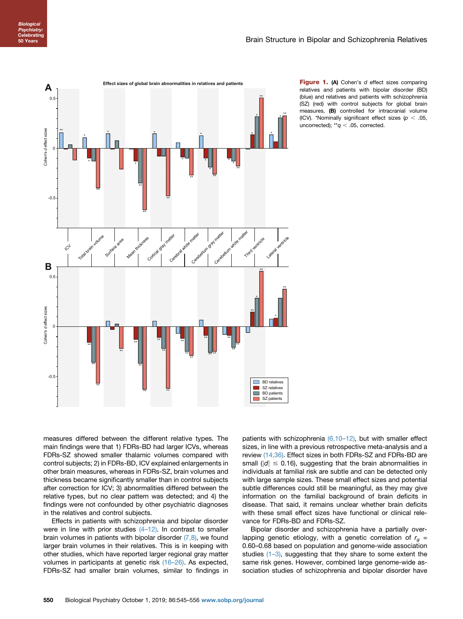<span id="page-5-0"></span>

Figure 1. (A) Cohen's d effect sizes comparing relatives and patients with bipolar disorder (BD) (blue) and relatives and patients with schizophrenia (SZ) (red) with control subjects for global brain measures, (B) controlled for intracranial volume (ICV). \*Nominally significant effect sizes ( $p < .05$ , uncorrected);  $*q < .05$ , corrected.

measures differed between the different relative types. The main findings were that 1) FDRs-BD had larger ICVs, whereas FDRs-SZ showed smaller thalamic volumes compared with control subjects; 2) in FDRs-BD, ICV explained enlargements in other brain measures, whereas in FDRs-SZ, brain volumes and thickness became significantly smaller than in control subjects after correction for ICV; 3) abnormalities differed between the relative types, but no clear pattern was detected; and 4) the findings were not confounded by other psychiatric diagnoses in the relatives and control subjects.

Effects in patients with schizophrenia and bipolar disorder were in line with prior studies  $(4-12)$  $(4-12)$ . In contrast to smaller brain volumes in patients with bipolar disorder  $(7,8)$ , we found larger brain volumes in their relatives. This is in keeping with other studies, which have reported larger regional gray matter volumes in participants at genetic risk [\(16](#page-9-0)–26). As expected, FDRs-SZ had smaller brain volumes, similar to findings in

patients with schizophrenia [\(6,10](#page-9-0)-12), but with smaller effect sizes, in line with a previous retrospective meta-analysis and a review [\(14,36\)](#page-9-0). Effect sizes in both FDRs-SZ and FDRs-BD are small ( $|d| \le 0.16$ ), suggesting that the brain abnormalities in individuals at familial risk are subtle and can be detected only with large sample sizes. These small effect sizes and potential subtle differences could still be meaningful, as they may give information on the familial background of brain deficits in disease. That said, it remains unclear whether brain deficits with these small effect sizes have functional or clinical relevance for FDRs-BD and FDRs-SZ.

Bipolar disorder and schizophrenia have a partially overlapping genetic etiology, with a genetic correlation of  $r<sub>q</sub>$  = 0.60–0.68 based on population and genome-wide association studies (1–[3\),](#page-9-0) suggesting that they share to some extent the same risk genes. However, combined large genome-wide association studies of schizophrenia and bipolar disorder have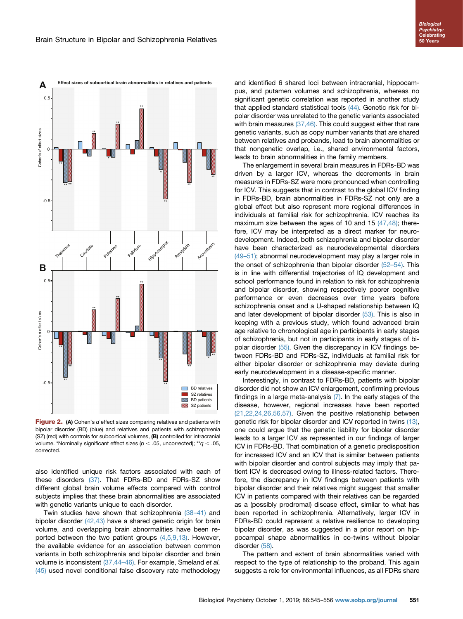<span id="page-6-0"></span>

Figure 2. (A) Cohen's d effect sizes comparing relatives and patients with bipolar disorder (BD) (blue) and relatives and patients with schizophrenia (SZ) (red) with controls for subcortical volumes, (B) controlled for intracranial volume. \*Nominally significant effect sizes ( $p < .05$ , uncorrected); \*\* $q < .05$ , corrected.

also identified unique risk factors associated with each of these disorders [\(37\).](#page-10-0) That FDRs-BD and FDRs-SZ show different global brain volume effects compared with control subjects implies that these brain abnormalities are associated with genetic variants unique to each disorder.

Twin studies have shown that schizophrenia [\(38](#page-10-0)–41) and bipolar disorder [\(42,43\)](#page-10-0) have a shared genetic origin for brain volume, and overlapping brain abnormalities have been reported between the two patient groups [\(4,5,9,13\).](#page-9-0) However, the available evidence for an association between common variants in both schizophrenia and bipolar disorder and brain volume is inconsistent [\(37,44](#page-10-0)-46). For example, Smeland et al. [\(45\)](#page-10-0) used novel conditional false discovery rate methodology

and identified 6 shared loci between intracranial, hippocampus, and putamen volumes and schizophrenia, whereas no significant genetic correlation was reported in another study that applied standard statistical tools [\(44\).](#page-10-0) Genetic risk for bipolar disorder was unrelated to the genetic variants associated with brain measures [\(37,46\).](#page-10-0) This could suggest either that rare genetic variants, such as copy number variants that are shared between relatives and probands, lead to brain abnormalities or that nongenetic overlap, i.e., shared environmental factors, leads to brain abnormalities in the family members.

The enlargement in several brain measures in FDRs-BD was driven by a larger ICV, whereas the decrements in brain measures in FDRs-SZ were more pronounced when controlling for ICV. This suggests that in contrast to the global ICV finding in FDRs-BD, brain abnormalities in FDRs-SZ not only are a global effect but also represent more regional differences in individuals at familial risk for schizophrenia. ICV reaches its maximum size between the ages of 10 and 15 [\(47,48\)](#page-10-0); therefore, ICV may be interpreted as a direct marker for neurodevelopment. Indeed, both schizophrenia and bipolar disorder have been characterized as neurodevelopmental disorders (49–[51\);](#page-10-0) abnormal neurodevelopment may play a larger role in the onset of schizophrenia than bipolar disorder [\(52](#page-10-0)–54). This is in line with differential trajectories of IQ development and school performance found in relation to risk for schizophrenia and bipolar disorder, showing respectively poorer cognitive performance or even decreases over time years before schizophrenia onset and a U-shaped relationship between IQ and later development of bipolar disorder [\(53\).](#page-10-0) This is also in keeping with a previous study, which found advanced brain age relative to chronological age in participants in early stages of schizophrenia, but not in participants in early stages of bipolar disorder [\(55\).](#page-10-0) Given the discrepancy in ICV findings between FDRs-BD and FDRs-SZ, individuals at familial risk for either bipolar disorder or schizophrenia may deviate during early neurodevelopment in a disease-specific manner.

Interestingly, in contrast to FDRs-BD, patients with bipolar disorder did not show an ICV enlargement, confirming previous findings in a large meta-analysis [\(7\)](#page-9-0). In the early stages of the disease, however, regional increases have been reported [\(21,22,24,26,56,57\)](#page-9-0). Given the positive relationship between genetic risk for bipolar disorder and ICV reported in twins [\(13\),](#page-9-0) one could argue that the genetic liability for bipolar disorder leads to a larger ICV as represented in our findings of larger ICV in FDRs-BD. That combination of a genetic predisposition for increased ICV and an ICV that is similar between patients with bipolar disorder and control subjects may imply that patient ICV is decreased owing to illness-related factors. Therefore, the discrepancy in ICV findings between patients with bipolar disorder and their relatives might suggest that smaller ICV in patients compared with their relatives can be regarded as a (possibly prodromal) disease effect, similar to what has been reported in schizophrenia. Alternatively, larger ICV in FDRs-BD could represent a relative resilience to developing bipolar disorder, as was suggested in a prior report on hippocampal shape abnormalities in co-twins without bipolar disorder [\(58\).](#page-10-0)

The pattern and extent of brain abnormalities varied with respect to the type of relationship to the proband. This again suggests a role for environmental influences, as all FDRs share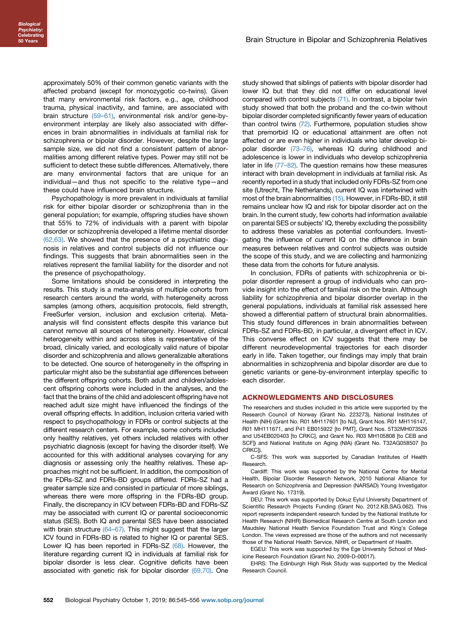approximately 50% of their common genetic variants with the affected proband (except for monozygotic co-twins). Given that many environmental risk factors, e.g., age, childhood trauma, physical inactivity, and famine, are associated with brain structure [\(59](#page-10-0)–61), environmental risk and/or gene-byenvironment interplay are likely also associated with differences in brain abnormalities in individuals at familial risk for schizophrenia or bipolar disorder. However, despite the large sample size, we did not find a consistent pattern of abnormalities among different relative types. Power may still not be sufficient to detect these subtle differences. Alternatively, there are many environmental factors that are unique for an individual—and thus not specific to the relative type—and these could have influenced brain structure.

Psychopathology is more prevalent in individuals at familial risk for either bipolar disorder or schizophrenia than in the general population; for example, offspring studies have shown that 55% to 72% of individuals with a parent with bipolar disorder or schizophrenia developed a lifetime mental disorder [\(62,63\)](#page-10-0). We showed that the presence of a psychiatric diagnosis in relatives and control subjects did not influence our findings. This suggests that brain abnormalities seen in the relatives represent the familial liability for the disorder and not the presence of psychopathology.

Some limitations should be considered in interpreting the results. This study is a meta-analysis of multiple cohorts from research centers around the world, with heterogeneity across samples (among others, acquisition protocols, field strength, FreeSurfer version, inclusion and exclusion criteria). Metaanalysis will find consistent effects despite this variance but cannot remove all sources of heterogeneity. However, clinical heterogeneity within and across sites is representative of the broad, clinically varied, and ecologically valid nature of bipolar disorder and schizophrenia and allows generalizable alterations to be detected. One source of heterogeneity in the offspring in particular might also be the substantial age differences between the different offspring cohorts. Both adult and children/adolescent offspring cohorts were included in the analyses, and the fact that the brains of the child and adolescent offspring have not reached adult size might have influenced the findings of the overall offspring effects. In addition, inclusion criteria varied with respect to psychopathology in FDRs or control subjects at the different research centers. For example, some cohorts included only healthy relatives, yet others included relatives with other psychiatric diagnosis (except for having the disorder itself). We accounted for this with additional analyses covarying for any diagnosis or assessing only the healthy relatives. These approaches might not be sufficient. In addition, the composition of the FDRs-SZ and FDRs-BD groups differed. FDRs-SZ had a greater sample size and consisted in particular of more siblings, whereas there were more offspring in the FDRs-BD group. Finally, the discrepancy in ICV between FDRs-BD and FDRs-SZ may be associated with current IQ or parental socioeconomic status (SES). Both IQ and parental SES have been associated with brain structure [\(64](#page-10-0)–67). This might suggest that the larger ICV found in FDRs-BD is related to higher IQ or parental SES. Lower IQ has been reported in FDRs-SZ [\(68\)](#page-10-0). However, the literature regarding current IQ in individuals at familial risk for bipolar disorder is less clear. Cognitive deficits have been associated with genetic risk for bipolar disorder  $(69,70)$ . One

study showed that siblings of patients with bipolar disorder had lower IQ but that they did not differ on educational level compared with control subjects [\(71\).](#page-11-0) In contrast, a bipolar twin study showed that both the proband and the co-twin without bipolar disorder completed significantly fewer years of education than control twins [\(72\)](#page-11-0). Furthermore, population studies show that premorbid IQ or educational attainment are often not affected or are even higher in individuals who later develop bipolar disorder [\(73](#page-11-0)–76), whereas IQ during childhood and adolescence is lower in individuals who develop schizophrenia later in life (77–[82\)](#page-11-0). The question remains how these measures interact with brain development in individuals at familial risk. As recently reported in a study that included only FDRs-SZ from one site (Utrecht, The Netherlands), current IQ was intertwined with most of the brain abnormalities [\(15\).](#page-9-0) However, in FDRs-BD, it still remains unclear how IQ and risk for bipolar disorder act on the brain. In the current study, few cohorts had information available on parental SES or subjects' IQ, thereby excluding the possibility to address these variables as potential confounders. Investigating the influence of current IQ on the difference in brain measures between relatives and control subjects was outside the scope of this study, and we are collecting and harmonizing these data from the cohorts for future analysis.

In conclusion, FDRs of patients with schizophrenia or bipolar disorder represent a group of individuals who can provide insight into the effect of familial risk on the brain. Although liability for schizophrenia and bipolar disorder overlap in the general populations, individuals at familial risk assessed here showed a differential pattern of structural brain abnormalities. This study found differences in brain abnormalities between FDRs-SZ and FDRs-BD, in particular, a divergent effect in ICV. This converse effect on ICV suggests that there may be different neurodevelopmental trajectories for each disorder early in life. Taken together, our findings may imply that brain abnormalities in schizophrenia and bipolar disorder are due to genetic variants or gene-by-environment interplay specific to each disorder.

#### ACKNOWLEDGMENTS AND DISCLOSURES

The researchers and studies included in this article were supported by the Research Council of Norway (Grant No. 223273), National Institutes of Health (NIH) (Grant No. R01 MH117601 [to NJ], Grant Nos. R01 MH116147, R01 MH111671, and P41 EB015922 [to PMT], Grant Nos. 5T32MH073526 and U54EB020403 [to CRKC], and Grant No. R03 MH105808 [to CEB and SCF]) and National Institute on Aging (NIA) (Grant No. T32AG058507 [to CRKC]).

C-SFS: This work was supported by Canadian Institutes of Health Research.

Cardiff: This work was supported by the National Centre for Mental Health, Bipolar Disorder Research Network, 2010 National Alliance for Research on Schizophrenia and Depression (NARSAD) Young Investigator Award (Grant No. 17319).

DEU: This work was supported by Dokuz Eylul University Department of Scientific Research Projects Funding (Grant No. 2012.KB.SAG.062). This report represents independent research funded by the National Institute for Health Research (NIHR) Biomedical Research Centre at South London and Maudsley National Health Service Foundation Trust and King's College London. The views expressed are those of the authors and not necessarily those of the National Health Service, NIHR, or Department of Health.

EGEU: This work was supported by the Ege University School of Medicine Research Foundation (Grant No. 2009-D-00017).

EHRS: The Edinburgh High Risk Study was supported by the Medical Research Council.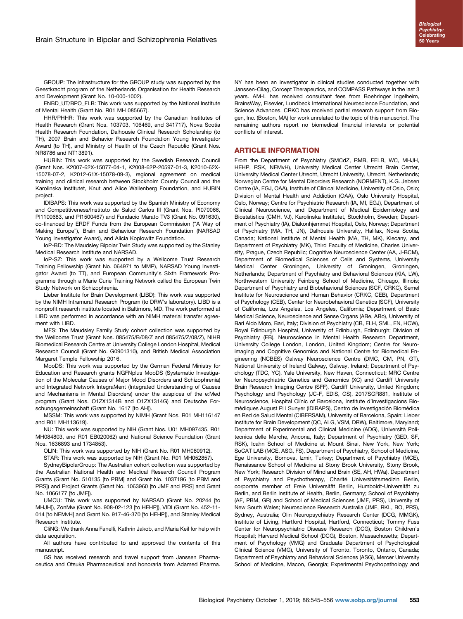GROUP: The infrastructure for the GROUP study was supported by the Geestkracht program of the Netherlands Organisation for Health Research and Development (Grant No. 10-000-1002).

ENBD\_UT/BPO\_FLB: This work was supported by the National Institute of Mental Health (Grant No. R01 MH 085667).

HHR/PHHR: This work was supported by the Canadian Institutes of Health Research (Grant Nos. 103703, 106469, and 341717), Nova Scotia Health Research Foundation, Dalhousie Clinical Research Scholarship (to TH), 2007 Brain and Behavior Research Foundation Young Investigator Award (to TH), and Ministry of Health of the Czech Republic (Grant Nos. NR8786 and NT13891).

HUBIN: This work was supported by the Swedish Research Council (Grant Nos. K2007-62X-15077-04-1, K2008-62P-20597-01-3, K2010-62X-15078-07-2, K2012-61X-15078-09-3), regional agreement on medical training and clinical research between Stockholm County Council and the Karolinska Institutet, Knut and Alice Wallenberg Foundation, and HUBIN project.

IDIBAPS: This work was supported by the Spanish Ministry of Economy and Competitiveness/Instituto de Salud Carlos III (Grant Nos. PI070066, PI1100683, and PI1500467) and Fundacio Marato TV3 (Grant No. 091630), co-financed by ERDF Funds from the European Commission ("A Way of Making Europe"), Brain and Behaviour Research Foundation (NARSAD Young Investigator Award), and Alicia Koplowitz Foundation.

IoP-BD: The Maudsley Bipolar Twin Study was supported by the Stanley Medical Research Institute and NARSAD.

IoP-SZ: This work was supported by a Wellcome Trust Research Training Fellowship (Grant No. 064971 to MMP), NARSAD Young Investigator Award (to TT), and European Community's Sixth Framework Programme through a Marie Curie Training Network called the European Twin Study Network on Schizophrenia.

Lieber Institute for Brain Development (LIBD): This work was supported by the NIMH Intramural Research Program (to DRW's laboratory). LIBD is a nonprofit research institute located in Baltimore, MD. The work performed at LIBD was performed in accordance with an NIMH material transfer agreement with LIBD.

MFS: The Maudsley Family Study cohort collection was supported by the Wellcome Trust (Grant Nos. 085475/B/08/Z and 085475/Z/08/Z), NIHR Biomedical Research Centre at University College London Hospital, Medical Research Council (Grant No. G0901310), and British Medical Association Margaret Temple Fellowship 2016.

MooDS: This work was supported by the German Federal Ministry for Education and Research grants NGFNplus MooDS (Systematic Investigation of the Molecular Causes of Major Mood Disorders and Schizophrenia) and Integrated Network IntegraMent (Integrated Understanding of Causes and Mechanisms in Mental Disorders) under the auspices of the e:Med program (Grant Nos. O1ZX1314B and O1ZX1314G) and Deutsche Forschungsgemeinschaft (Grant No. 1617 [to AH]).

MSSM: This work was supported by NIMH (Grant Nos. R01 MH116147 and R01 MH113619).

NU: This work was supported by NIH (Grant Nos. U01 MH097435, R01 MH084803, and R01 EB020062) and National Science Foundation (Grant Nos. 1636893 and 1734853).

OLIN: This work was supported by NIH (Grant No. R01 MH080912).

STAR: This work was supported by NIH (Grant No. R01 MH052857).

SydneyBipolarGroup: The Australian cohort collection was supported by the Australian National Health and Medical Research Council Program Grants (Grant No. 510135 [to PBM] and Grant No. 1037196 [to PBM and PRS]) and Project Grants (Grant No. 1063960 [to JMF and PRS] and Grant No. 1066177 [to JMF]).

UMCU: This work was supported by NARSAD (Grant No. 20244 [to MHJH]), ZonMw (Grant No. 908-02-123 [to HEHP]), VIDI (Grant No. 452-11- 014 [to NEMvH] and Grant No. 917-46-370 [to HEHP]), and Stanley Medical Research Institute.

CliNG: We thank Anna Fanelli, Kathrin Jakob, and Maria Keil for help with data acquisition.

All authors have contributed to and approved the contents of this manuscript.

GS has received research and travel support from Janssen Pharmaceutica and Otsuka Pharmaceutical and honoraria from Adamed Pharma.

NY has been an investigator in clinical studies conducted together with Janssen-Cilag, Corcept Therapeutics, and COMPASS Pathways in the last 3 years. AM-L has received consultant fees from Boehringer Ingelheim, BrainsWay, Elsevier, Lundbeck International Neuroscience Foundation, and Science Advances. CRKC has received partial research support from Biogen, Inc. (Boston, MA) for work unrelated to the topic of this manuscript. The remaining authors report no biomedical financial interests or potential conflicts of interest.

### ARTICLE INFORMATION

From the Department of Psychiatry (SMCdZ, RMB, EELB, WC, MHJH, HEHP, RSK, NEMvH), University Medical Center Utrecht Brain Center, University Medical Center Utrecht, Utrecht University, Utrecht, Netherlands; Norwegian Centre for Mental Disorders Research (NORMENT), K.G. Jebsen Centre (IA, EGJ, OAA), Institute of Clinical Medicine, University of Oslo, Oslo; Division of Mental Health and Addiction (OAA), Oslo University Hospital, Oslo, Norway; Centre for Psychiatric Research (IA, MI, EGJ), Department of Clinical Neuroscience, and Department of Medical Epidemiology and Biostatistics (CMH, VJ), Karolinska Institutet, Stockholm, Sweden; Department of Psychiatry (IA), Diakonhjemmet Hospital, Oslo, Norway; Department of Psychiatry (MA, TH, JN), Dalhousie University, Halifax, Nova Scotia, Canada; National Institute of Mental Health (MA, TH, MK), Klecany, and Department of Psychiatry (MK), Third Faculty of Medicine, Charles University, Prague, Czech Republic: Cognitive Neuroscience Center (AA, J-BCM). Department of Biomedical Sciences of Cells and Systems, University Medical Center Groningen, University of Groningen, Groningen, Netherlands; Department of Psychiatry and Behavioral Sciences (KIA, LW), Northwestern University Feinberg School of Medicine, Chicago, Illinois; Department of Psychiatry and Biobehavioral Sciences (SCF, CRKC), Semel Institute for Neuroscience and Human Behavior (CRKC, CEB), Department of Psychology (CEB), Center for Neurobehavioral Genetics (SCF), University of California, Los Angeles, Los Angeles, California; Department of Basic Medical Science, Neuroscience and Sense Organs (ABe, ABo), University of Bari Aldo Moro, Bari, Italy; Division of Psychiatry (CB, ELH, SML, EN, HCW), Royal Edinburgh Hospital, University of Edinburgh, Edinburgh; Division of Psychiatry (EB), Neuroscience in Mental Health Research Department, University College London, London, United Kingdom; Centre for Neuroimaging and Cognitive Genomics and National Centre for Biomedical Engineering (NCBES) Galway Neuroscience Centre (DMC, CM, PN, GT), National University of Ireland Galway, Galway, Ireland; Department of Psychology (TDC, YC), Yale University, New Haven, Connecticut; MRC Centre for Neuropsychiatric Genetics and Genomics (XC) and Cardiff University Brain Research Imaging Centre (SFF), Cardiff University, United Kingdom; Psychology and Psychology (JC-F, EDlS, GS), 2017SGR881, Institute of Neuroscience, Hospital Clínic of Barcelona, Institute d'Investigacions Biomèdiques August Pi i Sunyer (IDIBAPS), Centro de Investigación Biomédica en Red de Salud Mental (CIBERSAM), University of Barcelona, Spain; Lieber Institute for Brain Development (QC, ALG, VSM, DRW), Baltimore, Maryland; Department of Experimental and Clinical Medicine (ADG), Università Politecnica delle Marche, Ancona, Italy; Department of Psychiatry (GED, SF, RSK), Icahn School of Medicine at Mount Sinai, New York, New York; SoCAT LAB (MCE, ASG, FS), Department of Psychiatry, School of Medicine, Ege University, Bornova, Izmir, Turkey; Department of Psychiatry (MCE), Renaissance School of Medicine at Stony Brook University, Stony Brook, New York; Research Division of Mind and Brain (SE, AH, HWa), Department of Psychiatry and Psychotherapy, Charité Universitätsmedizin Berlin, corporate member of Freie Universität Berlin, Humboldt-Universität zu Berlin, and Berlin Institute of Health, Berlin, Germany; School of Psychiatry (AF, PBM, GR) and School of Medical Sciences (JMF, PRS), University of New South Wales; Neuroscience Research Australia (JMF, RKL, BO, PRS), Sydney, Australia; Olin Neuropsychiatry Research Center (DCG, MMGK), Institute of Living, Hartford Hospital, Hartford, Connecticut; Tommy Fuss Center for Neuropsychiatric Disease Research (DCG), Boston Children's Hospital; Harvard Medical School (DCG), Boston, Massachusetts; Department of Psychology (VMG) and Graduate Department of Psychological Clinical Science (VMG), University of Toronto, Toronto, Ontario, Canada; Department of Psychiatry and Behavioral Sciences (ASG), Mercer University School of Medicine, Macon, Georgia; Experimental Psychopathology and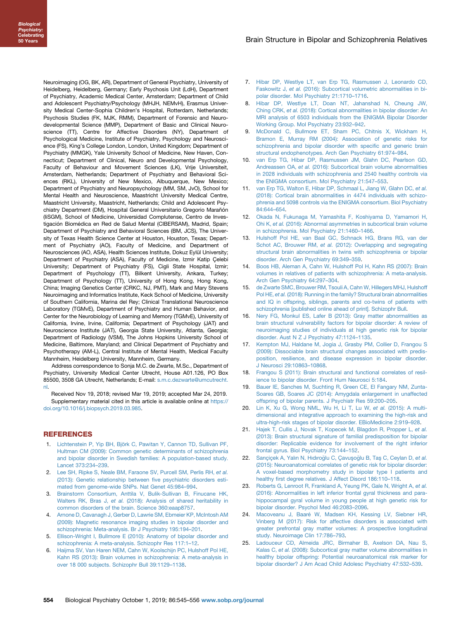<span id="page-9-0"></span>Neuroimaging (OG, BK, AR), Department of General Psychiatry, University of Heidelberg, Heidelberg, Germany; Early Psychosis Unit (LdH), Department of Psychiatry, Academic Medical Center, Amsterdam; Department of Child and Adolescent Psychiatry/Psychology (MHJH, NEMvH), Erasmus University Medical Center-Sophia Children's Hospital, Rotterdam, Netherlands; Psychosis Studies (FK, MJK, RMM), Department of Forensic and Neurodevelopmental Science (MMP), Department of Basic and Clinical Neuroscience (TT), Centre for Affective Disorders (NY), Department of Psychological Medicine, Institute of Psychiatry, Psychology and Neuroscience (FS), King's College London, London, United Kingdom; Department of Psychiatry (MMGK), Yale University School of Medicine, New Haven, Connecticut; Department of Clinical, Neuro and Developmental Psychology, Faculty of Behaviour and Movement Sciences (LK), Vrije Universiteit, Amsterdam, Netherlands; Department of Psychiatry and Behavioral Sciences (RKL), University of New Mexico, Albuquerque, New Mexico; Department of Psychiatry and Neuropsychology (MM, SM, JvO), School for Mental Health and Neuroscience, Maastricht University Medical Centre, Maastricht University, Maastricht, Netherlands; Child and Adolescent Psychiatry Department (DM), Hospital General Universitario Gregorio Marañón (IiSGM), School of Medicine, Universidad Complutense, Centro de Investigación Biomédica en Red de Salud Mental (CIBERSAM), Madrid, Spain; Department of Psychiatry and Behavioral Sciences (BM, JCS), The University of Texas Health Science Center at Houston, Houston, Texas; Department of Psychiatry (AO), Faculty of Medicine, and Department of Neurosciences (AO, ASA), Health Sciences Institute, Dokuz Eylül University; Department of Psychiatry (ASA), Faculty of Medicine, Izmir Katip Çelebi University; Department of Psychiatry (FS), Cigli State Hospital, Izmir; Department of Psychology (TT), Bilkent University, Ankara, Turkey; Department of Psychology (TT), University of Hong Kong, Hong Kong, China; Imaging Genetics Center (CRKC, NJ, PMT), Mark and Mary Stevens Neuroimaging and Informatics Institute, Keck School of Medicine, University of Southern California, Marina del Rey; Clinical Translational Neuroscience Laboratory (TGMvE), Department of Psychiatry and Human Behavior, and Center for the Neurobiology of Learning and Memory (TGMvE), University of California, Irvine, Irvine, California; Department of Psychology (JAT) and Neuroscience Institute (JAT), Georgia State University, Atlanta, Georgia; Department of Radiology (VSM), The Johns Hopkins University School of Medicine, Baltimore, Maryland; and Clinical Department of Psychiatry and Psychotherapy (AM-L), Central Institute of Mental Health, Medical Faculty Mannheim, Heidelberg University, Mannheim, Germany.

Address correspondence to Sonja M.C. de Zwarte, M.Sc., Department of Psychiatry, University Medical Center Utrecht, House A01.126, PO Box 85500, 3508 GA Utrecht, Netherlands; E-mail: [s.m.c.dezwarte@umcutrecht.](mailto:s.m.c.dezwarte@umcutrecht.nl) [nl](mailto:s.m.c.dezwarte@umcutrecht.nl).

Received Nov 19, 2018; revised Mar 19, 2019; accepted Mar 24, 2019. Supplementary material cited in this article is available online at [https://](https://doi.org/10.1016/j.biopsych.2019.03.985) [doi.org/10.1016/j.biopsych.2019.03.985](https://doi.org/10.1016/j.biopsych.2019.03.985).

#### REFERENCES

- 1. [Lichtenstein P, Yip BH, Björk C, Pawitan Y, Cannon TD, Sullivan PF,](http://refhub.elsevier.com/S0006-3223(19)31437-4/sref1) [Hultman CM \(2009\): Common genetic determinants of schizophrenia](http://refhub.elsevier.com/S0006-3223(19)31437-4/sref1) [and bipolar disorder in Swedish families: A population-based study.](http://refhub.elsevier.com/S0006-3223(19)31437-4/sref1) [Lancet 373:234](http://refhub.elsevier.com/S0006-3223(19)31437-4/sref1)–239.
- 2. [Lee SH, Ripke S, Neale BM, Faraone SV, Purcell SM, Perlis RH,](http://refhub.elsevier.com/S0006-3223(19)31437-4/sref2) et al. [\(2013\): Genetic relationship between](http://refhub.elsevier.com/S0006-3223(19)31437-4/sref2) five psychiatric disorders esti[mated from genome-wide SNPs. Nat Genet 45:984](http://refhub.elsevier.com/S0006-3223(19)31437-4/sref2)–994.
- 3. [Brainstorm Consortium, Anttila V, Bulik-Sullivan B, Finucane HK,](http://refhub.elsevier.com/S0006-3223(19)31437-4/sref3) Walters RK, Bras J, et al. [\(2018\): Analysis of shared heritability in](http://refhub.elsevier.com/S0006-3223(19)31437-4/sref3) [common disorders of the brain. Science 360:eaap8757](http://refhub.elsevier.com/S0006-3223(19)31437-4/sref3).
- 4. [Arnone D, Cavanagh J, Gerber D, Lawrie SM, Ebmeier KP, McIntosh AM](http://refhub.elsevier.com/S0006-3223(19)31437-4/sref4) [\(2009\): Magnetic resonance imaging studies in bipolar disorder and](http://refhub.elsevier.com/S0006-3223(19)31437-4/sref4) [schizophrenia: Meta-analysis. Br J Psychiatry 195:194](http://refhub.elsevier.com/S0006-3223(19)31437-4/sref4)–201.
- 5. [Ellison-Wright I, Bullmore E \(2010\): Anatomy of bipolar disorder and](http://refhub.elsevier.com/S0006-3223(19)31437-4/sref5) [schizophrenia: A meta-analysis. Schizophr Res 117:1](http://refhub.elsevier.com/S0006-3223(19)31437-4/sref5)–12.
- 6. [Haijma SV, Van Haren NEM, Cahn W, Koolschijn PC, Hulshoff Pol HE,](http://refhub.elsevier.com/S0006-3223(19)31437-4/sref6) [Kahn RS \(2013\): Brain volumes in schizophrenia: A meta-analysis in](http://refhub.elsevier.com/S0006-3223(19)31437-4/sref6) [over 18 000 subjects. Schizophr Bull 39:1129](http://refhub.elsevier.com/S0006-3223(19)31437-4/sref6)–1138.
- 7. [Hibar DP, Westlye LT, van Erp TG, Rasmussen J, Leonardo CD,](http://refhub.elsevier.com/S0006-3223(19)31437-4/sref7) Faskowitz J, et al. [\(2016\): Subcortical volumetric abnormalities in bi](http://refhub.elsevier.com/S0006-3223(19)31437-4/sref7)[polar disorder. Mol Psychiatry 21:1710](http://refhub.elsevier.com/S0006-3223(19)31437-4/sref7)–1716.
- 8. [Hibar DP, Westlye LT, Doan NT, Jahanshad N, Cheung JW,](http://refhub.elsevier.com/S0006-3223(19)31437-4/sref8) Ching CRK, et al. [\(2018\): Cortical abnormalities in bipolar disorder: An](http://refhub.elsevier.com/S0006-3223(19)31437-4/sref8) [MRI analysis of 6503 individuals from the ENIGMA Bipolar Disorder](http://refhub.elsevier.com/S0006-3223(19)31437-4/sref8) [Working Group. Mol Psychiatry 23:932](http://refhub.elsevier.com/S0006-3223(19)31437-4/sref8)–942.
- 9. [McDonald C, Bullmore ET, Sham PC, Chitnis X, Wickham H,](http://refhub.elsevier.com/S0006-3223(19)31437-4/sref9) [Bramon E, Murray RM \(2004\): Association of genetic risks for](http://refhub.elsevier.com/S0006-3223(19)31437-4/sref9) [schizophrenia and bipolar disorder with speci](http://refhub.elsevier.com/S0006-3223(19)31437-4/sref9)fic and generic brain [structural endophenotypes. Arch Gen Psychiatry 61:974](http://refhub.elsevier.com/S0006-3223(19)31437-4/sref9)–984.
- 10. [van Erp TG, Hibar DP, Rasmussen JM, Glahn DC, Pearlson GD,](http://refhub.elsevier.com/S0006-3223(19)31437-4/sref10) Andreassen OA, et al. [\(2016\): Subcortical brain volume abnormalities](http://refhub.elsevier.com/S0006-3223(19)31437-4/sref10) [in 2028 individuals with schizophrenia and 2540 healthy controls via](http://refhub.elsevier.com/S0006-3223(19)31437-4/sref10) [the ENIGMA consortium. Mol Psychiatry 21:547](http://refhub.elsevier.com/S0006-3223(19)31437-4/sref10)–553.
- 11. [van Erp TG, Walton E, Hibar DP, Schmaal L, Jiang W, Glahn DC,](http://refhub.elsevier.com/S0006-3223(19)31437-4/sref11) et al. [\(2018\): Cortical brain abnormalities in 4474 individuals with schizo](http://refhub.elsevier.com/S0006-3223(19)31437-4/sref11)[phrenia and 5098 controls via the ENIGMA consortium. Biol Psychiatry](http://refhub.elsevier.com/S0006-3223(19)31437-4/sref11) [84:644](http://refhub.elsevier.com/S0006-3223(19)31437-4/sref11)–654.
- 12. [Okada N, Fukunaga M, Yamashita F, Koshiyama D, Yamamori H,](http://refhub.elsevier.com/S0006-3223(19)31437-4/sref12) Ohi K, et al. [\(2016\): Abnormal asymmetries in subcortical brain volume](http://refhub.elsevier.com/S0006-3223(19)31437-4/sref12) [in schizophrenia. Mol Psychiatry 21:1460](http://refhub.elsevier.com/S0006-3223(19)31437-4/sref12)–1466.
- 13. [Hulshoff Pol HE, van Baal GC, Schnack HG, Brans RG, van der](http://refhub.elsevier.com/S0006-3223(19)31437-4/sref13) Schot AC, Brouwer RM, et al. [\(2012\): Overlapping and segregating](http://refhub.elsevier.com/S0006-3223(19)31437-4/sref13) [structural brain abnormalities in twins with schizophrenia or bipolar](http://refhub.elsevier.com/S0006-3223(19)31437-4/sref13) [disorder. Arch Gen Psychiatry 69:349](http://refhub.elsevier.com/S0006-3223(19)31437-4/sref13)–359.
- 14. [Boos HB, Aleman A, Cahn W, Hulshoff Pol H, Kahn RS \(2007\): Brain](http://refhub.elsevier.com/S0006-3223(19)31437-4/sref14) [volumes in relatives of patients with schizophrenia: A meta-analysis.](http://refhub.elsevier.com/S0006-3223(19)31437-4/sref14) [Arch Gen Psychiatry 64:297](http://refhub.elsevier.com/S0006-3223(19)31437-4/sref14)–304.
- 15. [de Zwarte SMC, Brouwer RM, Tsouli A, Cahn W, Hillegers MHJ, Hulshoff](http://refhub.elsevier.com/S0006-3223(19)31437-4/sref15) Pol HE, et al. [\(2018\): Running in the family? Structural brain abnormalities](http://refhub.elsevier.com/S0006-3223(19)31437-4/sref15) [and IQ in offspring, siblings, parents and co-twins of patients with](http://refhub.elsevier.com/S0006-3223(19)31437-4/sref15) [schizophrenia \[published online ahead of print\]. Schizophr Bull](http://refhub.elsevier.com/S0006-3223(19)31437-4/sref15).
- 16. [Nery FG, Monkul ES, Lafer B \(2013\): Gray matter abnormalities as](http://refhub.elsevier.com/S0006-3223(19)31437-4/sref16) [brain structural vulnerability factors for bipolar disorder: A review of](http://refhub.elsevier.com/S0006-3223(19)31437-4/sref16) [neuroimaging studies of individuals at high genetic risk for bipolar](http://refhub.elsevier.com/S0006-3223(19)31437-4/sref16) [disorder. Aust N Z J Psychiatry 47:1124](http://refhub.elsevier.com/S0006-3223(19)31437-4/sref16)–1135.
- 17. [Kempton MJ, Haldane M, Jogia J, Grasby PM, Collier D, Frangou S](http://refhub.elsevier.com/S0006-3223(19)31437-4/sref17) [\(2009\): Dissociable brain structural changes associated with predis](http://refhub.elsevier.com/S0006-3223(19)31437-4/sref17)[position, resilience, and disease expression in bipolar disorder.](http://refhub.elsevier.com/S0006-3223(19)31437-4/sref17) [J Neurosci 29:10863](http://refhub.elsevier.com/S0006-3223(19)31437-4/sref17)–10868.
- 18. [Frangou S \(2011\): Brain structural and functional correlates of resil](http://refhub.elsevier.com/S0006-3223(19)31437-4/sref18)[ience to bipolar disorder. Front Hum Neurosci 5:184](http://refhub.elsevier.com/S0006-3223(19)31437-4/sref18).
- 19. [Bauer IE, Sanches M, Suchting R, Green CE, El Fangary NM, Zunta-](http://refhub.elsevier.com/S0006-3223(19)31437-4/sref19)[Soares GB, Soares JC \(2014\): Amygdala enlargement in unaffected](http://refhub.elsevier.com/S0006-3223(19)31437-4/sref19) [offspring of bipolar parents. J Psychiatr Res 59:200](http://refhub.elsevier.com/S0006-3223(19)31437-4/sref19)–205.
- 20. [Lin K, Xu G, Wong NML, Wu H, Li T, Lu W,](http://refhub.elsevier.com/S0006-3223(19)31437-4/sref20) et al. (2015): A multi[dimensional and integrative approach to examining the high-risk and](http://refhub.elsevier.com/S0006-3223(19)31437-4/sref20) [ultra-high-risk stages of bipolar disorder. EBioMedicine 2:919](http://refhub.elsevier.com/S0006-3223(19)31437-4/sref20)–928.
- 21. [Hajek T, Cullis J, Novak T, Kopecek M, Blagdon R, Propper L,](http://refhub.elsevier.com/S0006-3223(19)31437-4/sref21) et al. [\(2013\): Brain structural signature of familial predisposition for bipolar](http://refhub.elsevier.com/S0006-3223(19)31437-4/sref21) [disorder: Replicable evidence for involvement of the right inferior](http://refhub.elsevier.com/S0006-3223(19)31437-4/sref21) [frontal gyrus. Biol Psychiatry 73:144](http://refhub.elsevier.com/S0006-3223(19)31437-4/sref21)–152.
- 22. [Sar](http://refhub.elsevier.com/S0006-3223(19)31437-4/sref22)ı[çiçek A, Yal](http://refhub.elsevier.com/S0006-3223(19)31437-4/sref22)ı[n N, H](http://refhub.elsevier.com/S0006-3223(19)31437-4/sref22)ı[d](http://refhub.elsevier.com/S0006-3223(19)31437-4/sref22)ıroğlu C, Çavusoğlu B, Tas [C, Ceylan D,](http://refhub.elsevier.com/S0006-3223(19)31437-4/sref22) et al. [\(2015\): Neuroanatomical correlates of genetic risk for bipolar disorder:](http://refhub.elsevier.com/S0006-3223(19)31437-4/sref22) [A voxel-based morphometry study in bipolar type I patients and](http://refhub.elsevier.com/S0006-3223(19)31437-4/sref22) healthy fi[rst degree relatives. J Affect Disord 186:110](http://refhub.elsevier.com/S0006-3223(19)31437-4/sref22)–118.
- 23. [Roberts G, Lenroot R, Frankland A, Yeung PK, Gale N, Wright A,](http://refhub.elsevier.com/S0006-3223(19)31437-4/sref23) et al. [\(2016\): Abnormalities in left inferior frontal gyral thickness and para](http://refhub.elsevier.com/S0006-3223(19)31437-4/sref23)[hippocampal gyral volume in young people at high genetic risk for](http://refhub.elsevier.com/S0006-3223(19)31437-4/sref23) [bipolar disorder. Psychol Med 46:2083](http://refhub.elsevier.com/S0006-3223(19)31437-4/sref23)–2096.
- 24. [Macoveanu J, Baaré W, Madsen KH, Kessing LV, Siebner HR,](http://refhub.elsevier.com/S0006-3223(19)31437-4/sref24) [Vinberg M \(2017\): Risk for affective disorders is associated with](http://refhub.elsevier.com/S0006-3223(19)31437-4/sref24) [greater prefrontal gray matter volumes: A prospective longitudinal](http://refhub.elsevier.com/S0006-3223(19)31437-4/sref24) [study. Neuroimage Clin 17:786](http://refhub.elsevier.com/S0006-3223(19)31437-4/sref24)–793.
- 25. [Ladouceur CD, Almeida JRC, Birmaher B, Axelson DA, Nau S,](http://refhub.elsevier.com/S0006-3223(19)31437-4/sref25) Kalas C, et al. [\(2008\): Subcortical gray matter volume abnormalities in](http://refhub.elsevier.com/S0006-3223(19)31437-4/sref25) [healthy bipolar offspring: Potential neuroanatomical risk marker for](http://refhub.elsevier.com/S0006-3223(19)31437-4/sref25) [bipolar disorder? J Am Acad Child Adolesc Psychiatry 47:532](http://refhub.elsevier.com/S0006-3223(19)31437-4/sref25)–539.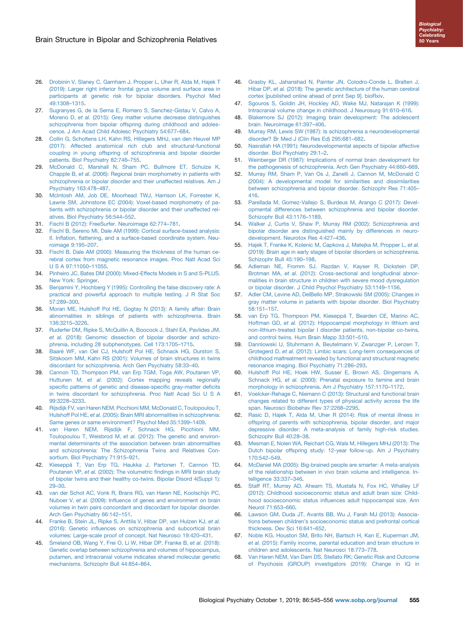- <span id="page-10-0"></span>26. [Drobinin V, Slaney C, Garnham J, Propper L, Uher R, Alda M, Hajek T](http://refhub.elsevier.com/S0006-3223(19)31437-4/sref26) [\(2019\): Larger right inferior frontal gyrus volume and surface area in](http://refhub.elsevier.com/S0006-3223(19)31437-4/sref26) [participants at genetic risk for bipolar disorders. Psychol Med](http://refhub.elsevier.com/S0006-3223(19)31437-4/sref26) [49:1308](http://refhub.elsevier.com/S0006-3223(19)31437-4/sref26)–1315.
- 27. [Sugranyes G, de la Serna E, Romero S, Sanchez-Gistau V, Calvo A,](http://refhub.elsevier.com/S0006-3223(19)31437-4/sref27) Moreno D, et al. [\(2015\): Grey matter volume decrease distinguishes](http://refhub.elsevier.com/S0006-3223(19)31437-4/sref27) [schizophrenia from bipolar offspring during childhood and adoles](http://refhub.elsevier.com/S0006-3223(19)31437-4/sref27)[cence. J Am Acad Child Adolesc Psychiatry 54:677](http://refhub.elsevier.com/S0006-3223(19)31437-4/sref27)–684.
- 28. [Collin G, Scholtens LH, Kahn RS, Hillegers MHJ, van den Heuvel MP](http://refhub.elsevier.com/S0006-3223(19)31437-4/sref28) [\(2017\): Affected anatomical rich club and structural-functional](http://refhub.elsevier.com/S0006-3223(19)31437-4/sref28) [coupling in young offspring of schizophrenia and bipolar disorder](http://refhub.elsevier.com/S0006-3223(19)31437-4/sref28) [patients. Biol Psychiatry 82:746](http://refhub.elsevier.com/S0006-3223(19)31437-4/sref28)–755.
- 29. [McDonald C, Marshall N, Sham PC, Bullmore ET, Schulze K,](http://refhub.elsevier.com/S0006-3223(19)31437-4/sref29) Chapple B, et al. [\(2006\): Regional brain morphometry in patients with](http://refhub.elsevier.com/S0006-3223(19)31437-4/sref29) [schizophrenia or bipolar disorder and their unaffected relatives. Am J](http://refhub.elsevier.com/S0006-3223(19)31437-4/sref29) [Psychiatry 163:478](http://refhub.elsevier.com/S0006-3223(19)31437-4/sref29)–487.
- 30. [McIntosh AM, Job DE, Moorhead TWJ, Harrison LK, Forrester K,](http://refhub.elsevier.com/S0006-3223(19)31437-4/sref30) [Lawrie SM, Johnstone EC \(2004\): Voxel-based morphometry of pa](http://refhub.elsevier.com/S0006-3223(19)31437-4/sref30)[tients with schizophrenia or bipolar disorder and their unaffected rel](http://refhub.elsevier.com/S0006-3223(19)31437-4/sref30)[atives. Biol Psychiatry 56:544](http://refhub.elsevier.com/S0006-3223(19)31437-4/sref30)–552.
- 31. [Fischl B \(2012\): FreeSurfer. Neuroimage 62:774](http://refhub.elsevier.com/S0006-3223(19)31437-4/sref31)–781.
- 32. [Fischl B, Sereno MI, Dale AM \(1999\): Cortical surface-based analysis:](http://refhub.elsevier.com/S0006-3223(19)31437-4/sref32) II. Inflation, fl[attening, and a surface-based coordinate system. Neu](http://refhub.elsevier.com/S0006-3223(19)31437-4/sref32)[roimage 9:195](http://refhub.elsevier.com/S0006-3223(19)31437-4/sref32)–207.
- 33. [Fischl B, Dale AM \(2000\): Measuring the thickness of the human ce](http://refhub.elsevier.com/S0006-3223(19)31437-4/sref33)[rebral cortex from magnetic resonance images. Proc Natl Acad Sci](http://refhub.elsevier.com/S0006-3223(19)31437-4/sref33) [U S A 97:11050](http://refhub.elsevier.com/S0006-3223(19)31437-4/sref33)–11055.
- 34. [Pinheiro JC, Bates DM \(2000\): Mixed-Effects Models in S and S-PLUS.](http://refhub.elsevier.com/S0006-3223(19)31437-4/sref34) [New York: Springer](http://refhub.elsevier.com/S0006-3223(19)31437-4/sref34).
- 35. [Benjamini Y, Hochberg Y \(1995\): Controlling the false discovery rate: A](http://refhub.elsevier.com/S0006-3223(19)31437-4/sref35) [practical and powerful approach to multiple testing. J R Stat Soc](http://refhub.elsevier.com/S0006-3223(19)31437-4/sref35) [57:289](http://refhub.elsevier.com/S0006-3223(19)31437-4/sref35)–300.
- 36. [Moran ME, Hulshoff Pol HE, Gogtay N \(2013\): A family affair: Brain](http://refhub.elsevier.com/S0006-3223(19)31437-4/sref36) [abnormalities in siblings of patients with schizophrenia. Brain](http://refhub.elsevier.com/S0006-3223(19)31437-4/sref36) [136:3215](http://refhub.elsevier.com/S0006-3223(19)31437-4/sref36)–3226.
- 37. [Ruderfer DM, Ripke S, McQuillin A, Boocock J, Stahl EA, Pavlides JM,](http://refhub.elsevier.com/S0006-3223(19)31437-4/sref37) et al. [\(2018\): Genomic dissection of bipolar disorder and schizo](http://refhub.elsevier.com/S0006-3223(19)31437-4/sref37)[phrenia, including 28 subphenotypes. Cell 173:1705](http://refhub.elsevier.com/S0006-3223(19)31437-4/sref37)–1715.
- 38. [Baaré WF, van Oel CJ, Hulshoff Pol HE, Schnack HG, Durston S,](http://refhub.elsevier.com/S0006-3223(19)31437-4/sref38) [Sitskoorn MM, Kahn RS \(2001\): Volumes of brain structures in twins](http://refhub.elsevier.com/S0006-3223(19)31437-4/sref38) [discordant for schizophrenia. Arch Gen Psychiatry 58:33](http://refhub.elsevier.com/S0006-3223(19)31437-4/sref38)–40.
- 39. [Cannon TD, Thompson PM, van Erp TGM, Toga AW, Poutanen VP,](http://refhub.elsevier.com/S0006-3223(19)31437-4/sref39) Huttunen M, et al. [\(2002\): Cortex mapping reveals regionally](http://refhub.elsevier.com/S0006-3223(19)31437-4/sref39) specifi[c patterns of genetic and disease-speci](http://refhub.elsevier.com/S0006-3223(19)31437-4/sref39)fic gray-matter deficits [in twins discordant for schizophrenia. Proc Natl Acad Sci U S A](http://refhub.elsevier.com/S0006-3223(19)31437-4/sref39) [99:3228](http://refhub.elsevier.com/S0006-3223(19)31437-4/sref39)–3233.
- 40. [Rijsdijk FV, van Haren NEM, Picchioni MM, McDonald C, Toulopoulou T,](http://refhub.elsevier.com/S0006-3223(19)31437-4/sref40) Hulshoff Pol HE, et al. [\(2005\): Brain MRI abnormalities in schizophrenia:](http://refhub.elsevier.com/S0006-3223(19)31437-4/sref40) [Same genes or same environment? Psychol Med 35:1399](http://refhub.elsevier.com/S0006-3223(19)31437-4/sref40)–1409.
- 41. [van Haren NEM, Rijsdijk F, Schnack HG, Picchioni MM,](http://refhub.elsevier.com/S0006-3223(19)31437-4/sref41) Toulopoulou T, Weisbrod M, et al. [\(2012\): The genetic and environ](http://refhub.elsevier.com/S0006-3223(19)31437-4/sref41)[mental determinants of the association between brain abnormalities](http://refhub.elsevier.com/S0006-3223(19)31437-4/sref41) [and schizophrenia: The Schizophrenia Twins and Relatives Con](http://refhub.elsevier.com/S0006-3223(19)31437-4/sref41)[sortium. Biol Psychiatry 71:915](http://refhub.elsevier.com/S0006-3223(19)31437-4/sref41)–921.
- 42. [Kieseppä T, Van Erp TG, Haukka J, Partonen T, Cannon TD,](http://refhub.elsevier.com/S0006-3223(19)31437-4/sref42) Poutanen VP, et al. (2002): The volumetric fi[ndings in MRI brain study](http://refhub.elsevier.com/S0006-3223(19)31437-4/sref42) [of bipolar twins and their healthy co-twins. Bipolar Disord 4\(Suppl 1\):](http://refhub.elsevier.com/S0006-3223(19)31437-4/sref42) [29](http://refhub.elsevier.com/S0006-3223(19)31437-4/sref42)–30.
- 43. [van der Schot AC, Vonk R, Brans RG, van Haren NE, Koolschijn PC,](http://refhub.elsevier.com/S0006-3223(19)31437-4/sref43) Nuboer V, et al. (2009): Infl[uence of genes and environment on brain](http://refhub.elsevier.com/S0006-3223(19)31437-4/sref43) [volumes in twin pairs concordant and discordant for bipolar disorder.](http://refhub.elsevier.com/S0006-3223(19)31437-4/sref43) [Arch Gen Psychiatry 66:142](http://refhub.elsevier.com/S0006-3223(19)31437-4/sref43)–151.
- 44. [Franke B, Stein JL, Ripke S, Anttila V, Hibar DP, van Hulzen KJ,](http://refhub.elsevier.com/S0006-3223(19)31437-4/sref44) et al. (2016): Genetic infl[uences on schizophrenia and subcortical brain](http://refhub.elsevier.com/S0006-3223(19)31437-4/sref44) [volumes: Large-scale proof of concept. Nat Neurosci 19:420](http://refhub.elsevier.com/S0006-3223(19)31437-4/sref44)–431.
- 45. [Smeland OB, Wang Y, Frei O, Li W, Hibar DP, Franke B,](http://refhub.elsevier.com/S0006-3223(19)31437-4/sref45) et al. (2018): [Genetic overlap between schizophrenia and volumes of hippocampus,](http://refhub.elsevier.com/S0006-3223(19)31437-4/sref45) [putamen, and intracranial volume indicates shared molecular genetic](http://refhub.elsevier.com/S0006-3223(19)31437-4/sref45) [mechanisms. Schizophr Bull 44:854](http://refhub.elsevier.com/S0006-3223(19)31437-4/sref45)–864.
- 46. [Grasby KL, Jahanshad N, Painter JN, Colodro-Conde L, Bralten J,](http://refhub.elsevier.com/S0006-3223(19)31437-4/sref46) Hibar DP, et al. [\(2018\): The genetic architecture of the human cerebral](http://refhub.elsevier.com/S0006-3223(19)31437-4/sref46) [cortex \[published online ahead of print Sep 9\]. bioRxiv.](http://refhub.elsevier.com/S0006-3223(19)31437-4/sref46)
- 47. [Sgouros S, Goldin JH, Hockley AD, Wake MJ, Natarajan K \(1999\):](http://refhub.elsevier.com/S0006-3223(19)31437-4/sref47) [Intracranial volume change in childhood. J Neurosurg 91:610](http://refhub.elsevier.com/S0006-3223(19)31437-4/sref47)–616.
- 48. [Blakemore SJ \(2012\): Imaging brain development: The adolescent](http://refhub.elsevier.com/S0006-3223(19)31437-4/sref48) [brain. Neuroimage 61:397](http://refhub.elsevier.com/S0006-3223(19)31437-4/sref48)–406.
- 49. [Murray RM, Lewis SW \(1987\): Is schizophrenia a neurodevelopmental](http://refhub.elsevier.com/S0006-3223(19)31437-4/sref49) [disorder? Br Med J \(Clin Res Ed\) 295:681](http://refhub.elsevier.com/S0006-3223(19)31437-4/sref49)–682.
- 50. [Nasrallah HA \(1991\): Neurodevelopmental aspects of bipolar affective](http://refhub.elsevier.com/S0006-3223(19)31437-4/sref50) [disorder. Biol Psychiatry 29:1](http://refhub.elsevier.com/S0006-3223(19)31437-4/sref50)–2.
- 51. [Weinberger DR \(1987\): Implications of normal brain development for](http://refhub.elsevier.com/S0006-3223(19)31437-4/sref51) [the pathogenesis of schizophrenia. Arch Gen Psychiatry 44:660](http://refhub.elsevier.com/S0006-3223(19)31437-4/sref51)–669.
- 52. [Murray RM, Sham P, Van Os J, Zanelli J, Cannon M, McDonald C](http://refhub.elsevier.com/S0006-3223(19)31437-4/sref52) [\(2004\): A developmental model for similarities and dissimilarities](http://refhub.elsevier.com/S0006-3223(19)31437-4/sref52) [between schizophrenia and bipolar disorder. Schizophr Res 71:405](http://refhub.elsevier.com/S0006-3223(19)31437-4/sref52)– [416.](http://refhub.elsevier.com/S0006-3223(19)31437-4/sref52)
- 53. [Parellada M, Gomez-Vallejo S, Burdeus M, Arango C \(2017\): Devel](http://refhub.elsevier.com/S0006-3223(19)31437-4/sref53)[opmental differences between schizophrenia and bipolar disorder.](http://refhub.elsevier.com/S0006-3223(19)31437-4/sref53) [Schizophr Bull 43:1176](http://refhub.elsevier.com/S0006-3223(19)31437-4/sref53)–1189.
- 54. [Walker J, Curtis V, Shaw P, Murray RM \(2002\): Schizophrenia and](http://refhub.elsevier.com/S0006-3223(19)31437-4/sref54) [bipolar disorder are distinguished mainly by differences in neuro](http://refhub.elsevier.com/S0006-3223(19)31437-4/sref54)[development. Neurotox Res 4:427](http://refhub.elsevier.com/S0006-3223(19)31437-4/sref54)–436.
- 55. [Hajek T, Franke K, Kolenic M, Capkova J, Matejka M, Propper L,](http://refhub.elsevier.com/S0006-3223(19)31437-4/sref55) et al. [\(2019\): Brain age in early stages of bipolar disorders or schizophrenia.](http://refhub.elsevier.com/S0006-3223(19)31437-4/sref55) [Schizophr Bull 45:190](http://refhub.elsevier.com/S0006-3223(19)31437-4/sref55)–198.
- 56. [Adleman NE, Fromm SJ, Razdan V, Kayser R, Dickstein DP,](http://refhub.elsevier.com/S0006-3223(19)31437-4/sref56) Brotman MA, et al. [\(2012\): Cross-sectional and longitudinal abnor](http://refhub.elsevier.com/S0006-3223(19)31437-4/sref56)[malities in brain structure in children with severe mood dysregulation](http://refhub.elsevier.com/S0006-3223(19)31437-4/sref56) [or bipolar disorder. J Child Psychol Psychiatry 53:1149](http://refhub.elsevier.com/S0006-3223(19)31437-4/sref56)–1156.
- 57. [Adler CM, Levine AD, DelBello MP, Strakowski SM \(2005\): Changes in](http://refhub.elsevier.com/S0006-3223(19)31437-4/sref57) [gray matter volume in patients with bipolar disorder. Biol Psychiatry](http://refhub.elsevier.com/S0006-3223(19)31437-4/sref57) [58:151](http://refhub.elsevier.com/S0006-3223(19)31437-4/sref57)–157.
- 58. [van Erp TG, Thompson PM, Kieseppä T, Bearden CE, Marino AC,](http://refhub.elsevier.com/S0006-3223(19)31437-4/sref58) Hoftman GD, et al. [\(2012\): Hippocampal morphology in lithium and](http://refhub.elsevier.com/S0006-3223(19)31437-4/sref58) [non-lithium-treated bipolar I disorder patients, non-bipolar co-twins,](http://refhub.elsevier.com/S0006-3223(19)31437-4/sref58) [and control twins. Hum Brain Mapp 33:501](http://refhub.elsevier.com/S0006-3223(19)31437-4/sref58)–510.
- 59. [Dannlowski U, Stuhrmann A, Beutelmann V, Zwanzger P, Lenzen T,](http://refhub.elsevier.com/S0006-3223(19)31437-4/sref59) Grotegerd D, et al. [\(2012\): Limbic scars: Long-term consequences of](http://refhub.elsevier.com/S0006-3223(19)31437-4/sref59) [childhood maltreatment revealed by functional and structural magnetic](http://refhub.elsevier.com/S0006-3223(19)31437-4/sref59) [resonance imaging. Biol Psychiatry 71:286](http://refhub.elsevier.com/S0006-3223(19)31437-4/sref59)–293.
- 60. [Hulshoff Pol HE, Hoek HW, Susser E, Brown AS, Dingemans A,](http://refhub.elsevier.com/S0006-3223(19)31437-4/sref60) Schnack HG, et al. [\(2000\): Prenatal exposure to famine and brain](http://refhub.elsevier.com/S0006-3223(19)31437-4/sref60) [morphology in schizophrenia. Am J Psychiatry 157:1170](http://refhub.elsevier.com/S0006-3223(19)31437-4/sref60)–1172.
- 61. [Voelcker-Rehage C, Niemann C \(2013\): Structural and functional brain](http://refhub.elsevier.com/S0006-3223(19)31437-4/sref61) [changes related to different types of physical activity across the life](http://refhub.elsevier.com/S0006-3223(19)31437-4/sref61) [span. Neurosci Biobehav Rev 37:2268](http://refhub.elsevier.com/S0006-3223(19)31437-4/sref61)–2295.
- 62. [Rasic D, Hajek T, Alda M, Uher R \(2014\): Risk of mental illness in](http://refhub.elsevier.com/S0006-3223(19)31437-4/sref62) [offspring of parents with schizophrenia, bipolar disorder, and major](http://refhub.elsevier.com/S0006-3223(19)31437-4/sref62) [depressive disorder: A meta-analysis of family high-risk studies.](http://refhub.elsevier.com/S0006-3223(19)31437-4/sref62) [Schizophr Bull 40:28](http://refhub.elsevier.com/S0006-3223(19)31437-4/sref62)–38.
- 63. [Mesman E, Nolen WA, Reichart CG, Wals M, Hillegers MHJ \(2013\): The](http://refhub.elsevier.com/S0006-3223(19)31437-4/sref63) [Dutch bipolar offspring study: 12-year follow-up. Am J Psychiatry](http://refhub.elsevier.com/S0006-3223(19)31437-4/sref63) [170:542](http://refhub.elsevier.com/S0006-3223(19)31437-4/sref63)–549.
- 64. [McDaniel MA \(2005\): Big-brained people are smarter: A meta-analysis](http://refhub.elsevier.com/S0006-3223(19)31437-4/sref64) [of the relationship between in vivo brain volume and intelligence. In](http://refhub.elsevier.com/S0006-3223(19)31437-4/sref64)[telligence 33:337](http://refhub.elsevier.com/S0006-3223(19)31437-4/sref64)–346.
- 65. [Staff RT, Murray AD, Ahearn TS, Mustafa N, Fox HC, Whalley LF](http://refhub.elsevier.com/S0006-3223(19)31437-4/sref65) [\(2012\): Childhood socioeconomic status and adult brain size: Child](http://refhub.elsevier.com/S0006-3223(19)31437-4/sref65)hood socioeconomic status infl[uences adult hippocampal size. Ann](http://refhub.elsevier.com/S0006-3223(19)31437-4/sref65) [Neurol 71:653](http://refhub.elsevier.com/S0006-3223(19)31437-4/sref65)–660.
- 66. [Lawson GM, Duda JT, Avants BB, Wu J, Farah MJ \(2013\): Associa](http://refhub.elsevier.com/S0006-3223(19)31437-4/sref66)tions between children'[s socioeconomic status and prefrontal cortical](http://refhub.elsevier.com/S0006-3223(19)31437-4/sref66) [thickness. Dev Sci 16:641](http://refhub.elsevier.com/S0006-3223(19)31437-4/sref66)–652.
- 67. [Noble KG, Houston SM, Brito NH, Bartsch H, Kan E, Kuperman JM,](http://refhub.elsevier.com/S0006-3223(19)31437-4/sref67) et al. [\(2015\): Family income, parental education and brain structure in](http://refhub.elsevier.com/S0006-3223(19)31437-4/sref67) [children and adolescents. Nat Neurosci 18:773](http://refhub.elsevier.com/S0006-3223(19)31437-4/sref67)–778.
- 68. [Van Haren NEM, Van Dam DS, Stellato RK; Genetic Risk and Outcome](http://refhub.elsevier.com/S0006-3223(19)31437-4/sref68) [of Psychosis \(GROUP\) investigators \(2019\): Change in IQ in](http://refhub.elsevier.com/S0006-3223(19)31437-4/sref68)